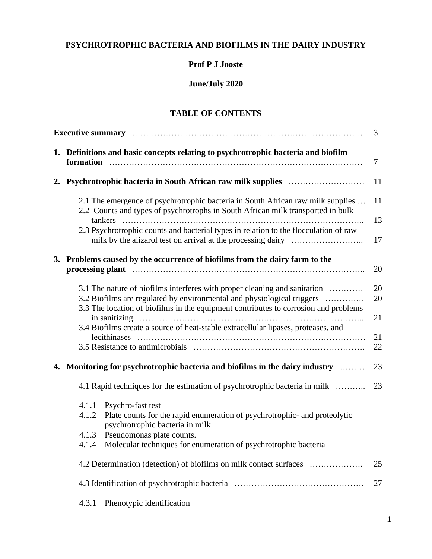# **PSYCHROTROPHIC BACTERIA AND BIOFILMS IN THE DAIRY INDUSTRY**

## **Prof P J Jooste**

# **June/July 2020**

# **TABLE OF CONTENTS**

| 1. Definitions and basic concepts relating to psychrotrophic bacteria and biofilm                                                                                                                                                                          | 7              |  |  |  |
|------------------------------------------------------------------------------------------------------------------------------------------------------------------------------------------------------------------------------------------------------------|----------------|--|--|--|
|                                                                                                                                                                                                                                                            | 11             |  |  |  |
| 2.1 The emergence of psychrotrophic bacteria in South African raw milk supplies<br>2.2 Counts and types of psychrotrophs in South African milk transported in bulk<br>2.3 Psychrotrophic counts and bacterial types in relation to the flocculation of raw | 11<br>13<br>17 |  |  |  |
| 3. Problems caused by the occurrence of biofilms from the dairy farm to the<br>processing plant manufactured contain the control of the processing plant                                                                                                   | 20             |  |  |  |
| 3.1 The nature of biofilms interferes with proper cleaning and sanitation<br>3.2 Biofilms are regulated by environmental and physiological triggers<br>3.3 The location of biofilms in the equipment contributes to corrosion and problems                 | 20<br>20<br>21 |  |  |  |
| 3.4 Biofilms create a source of heat-stable extracellular lipases, proteases, and                                                                                                                                                                          | 21<br>22       |  |  |  |
| 4. Monitoring for psychrotrophic bacteria and biofilms in the dairy industry                                                                                                                                                                               | 23             |  |  |  |
| 4.1 Rapid techniques for the estimation of psychrotrophic bacteria in milk                                                                                                                                                                                 | 23             |  |  |  |
| Psychro-fast test<br>4.1.1<br>4.1.2<br>Plate counts for the rapid enumeration of psychrotrophic- and proteolytic<br>psychrotrophic bacteria in milk<br>Pseudomonas plate counts.<br>4.1.3                                                                  |                |  |  |  |
| 4.1.4 Molecular techniques for enumeration of psychrotrophic bacteria                                                                                                                                                                                      |                |  |  |  |
| 4.2 Determination (detection) of biofilms on milk contact surfaces                                                                                                                                                                                         | 25             |  |  |  |
|                                                                                                                                                                                                                                                            | 27             |  |  |  |
| Phenotypic identification<br>4.3.1                                                                                                                                                                                                                         |                |  |  |  |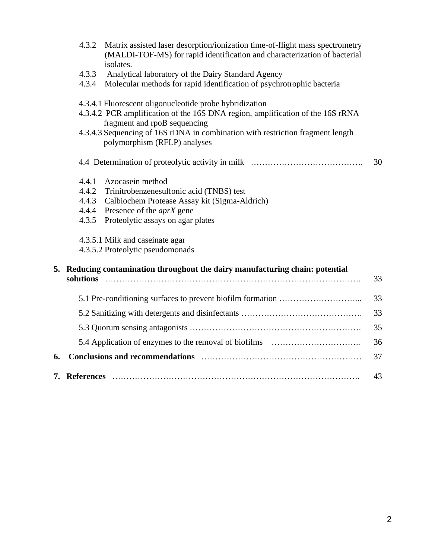|    | 4.3.2                                     | Matrix assisted laser desorption/ionization time-of-flight mass spectrometry<br>(MALDI-TOF-MS) for rapid identification and characterization of bacterial<br>isolates.                                                                                                                      |    |
|----|-------------------------------------------|---------------------------------------------------------------------------------------------------------------------------------------------------------------------------------------------------------------------------------------------------------------------------------------------|----|
|    | 4.3.3<br>4.3.4                            | Analytical laboratory of the Dairy Standard Agency<br>Molecular methods for rapid identification of psychrotrophic bacteria                                                                                                                                                                 |    |
|    |                                           | 4.3.4.1 Fluorescent oligonucleotide probe hybridization<br>4.3.4.2 PCR amplification of the 16S DNA region, amplification of the 16S rRNA<br>fragment and rpoB sequencing<br>4.3.4.3 Sequencing of 16S rDNA in combination with restriction fragment length<br>polymorphism (RFLP) analyses |    |
|    |                                           |                                                                                                                                                                                                                                                                                             | 30 |
|    | 4.4.1<br>4.4.2<br>4.4.3<br>4.4.4<br>4.3.5 | Azocasein method<br>Trinitrobenzenesulfonic acid (TNBS) test<br>Calbiochem Protease Assay kit (Sigma-Aldrich)<br>Presence of the <i>aprX</i> gene<br>Proteolytic assays on agar plates<br>4.3.5.1 Milk and caseinate agar<br>4.3.5.2 Proteolytic pseudomonads                               |    |
|    |                                           | 5. Reducing contamination throughout the dairy manufacturing chain: potential                                                                                                                                                                                                               | 33 |
|    |                                           |                                                                                                                                                                                                                                                                                             | 33 |
|    |                                           |                                                                                                                                                                                                                                                                                             | 33 |
|    |                                           |                                                                                                                                                                                                                                                                                             | 35 |
|    |                                           |                                                                                                                                                                                                                                                                                             | 36 |
| 6. |                                           |                                                                                                                                                                                                                                                                                             | 37 |
| 7. | <b>References</b>                         |                                                                                                                                                                                                                                                                                             | 43 |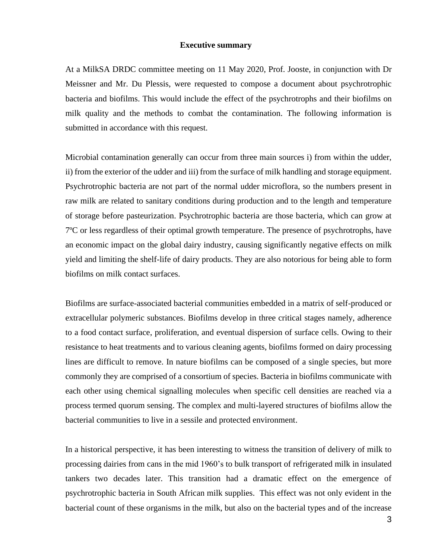#### **Executive summary**

At a MilkSA DRDC committee meeting on 11 May 2020, Prof. Jooste, in conjunction with Dr Meissner and Mr. Du Plessis, were requested to compose a document about psychrotrophic bacteria and biofilms. This would include the effect of the psychrotrophs and their biofilms on milk quality and the methods to combat the contamination. The following information is submitted in accordance with this request.

Microbial contamination generally can occur from three main sources i) from within the udder, ii) from the exterior of the udder and iii) from the surface of milk handling and storage equipment. Psychrotrophic bacteria are not part of the normal udder microflora, so the numbers present in raw milk are related to sanitary conditions during production and to the length and temperature of storage before pasteurization. Psychrotrophic bacteria are those bacteria, which can grow at 7ºC or less regardless of their optimal growth temperature. The presence of psychrotrophs, have an economic impact on the global dairy industry, causing significantly negative effects on milk yield and limiting the shelf-life of dairy products. They are also notorious for being able to form biofilms on milk contact surfaces.

Biofilms are surface-associated bacterial communities embedded in a matrix of self-produced or extracellular polymeric substances. Biofilms develop in three critical stages namely, adherence to a food contact surface, proliferation, and eventual dispersion of surface cells. Owing to their resistance to heat treatments and to various cleaning agents, biofilms formed on dairy processing lines are difficult to remove. In nature biofilms can be composed of a single species, but more commonly they are comprised of a consortium of species. Bacteria in biofilms communicate with each other using chemical signalling molecules when specific cell densities are reached via a process termed quorum sensing. The complex and multi-layered structures of biofilms allow the bacterial communities to live in a sessile and protected environment.

In a historical perspective, it has been interesting to witness the transition of delivery of milk to processing dairies from cans in the mid 1960's to bulk transport of refrigerated milk in insulated tankers two decades later. This transition had a dramatic effect on the emergence of psychrotrophic bacteria in South African milk supplies. This effect was not only evident in the bacterial count of these organisms in the milk, but also on the bacterial types and of the increase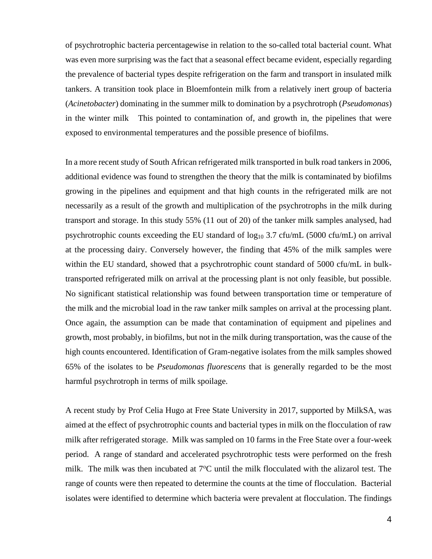of psychrotrophic bacteria percentagewise in relation to the so-called total bacterial count. What was even more surprising was the fact that a seasonal effect became evident, especially regarding the prevalence of bacterial types despite refrigeration on the farm and transport in insulated milk tankers. A transition took place in Bloemfontein milk from a relatively inert group of bacteria (*Acinetobacter*) dominating in the summer milk to domination by a psychrotroph (*Pseudomonas*) in the winter milk This pointed to contamination of, and growth in, the pipelines that were exposed to environmental temperatures and the possible presence of biofilms.

In a more recent study of South African refrigerated milk transported in bulk road tankers in 2006, additional evidence was found to strengthen the theory that the milk is contaminated by biofilms growing in the pipelines and equipment and that high counts in the refrigerated milk are not necessarily as a result of the growth and multiplication of the psychrotrophs in the milk during transport and storage. In this study 55% (11 out of 20) of the tanker milk samples analysed, had psychrotrophic counts exceeding the EU standard of  $log_{10} 3.7 \text{ cfu/mL}$  (5000 cfu/mL) on arrival at the processing dairy. Conversely however, the finding that 45% of the milk samples were within the EU standard, showed that a psychrotrophic count standard of 5000 cfu/mL in bulktransported refrigerated milk on arrival at the processing plant is not only feasible, but possible. No significant statistical relationship was found between transportation time or temperature of the milk and the microbial load in the raw tanker milk samples on arrival at the processing plant. Once again, the assumption can be made that contamination of equipment and pipelines and growth, most probably, in biofilms, but not in the milk during transportation, was the cause of the high counts encountered. Identification of Gram-negative isolates from the milk samples showed 65% of the isolates to be *Pseudomonas fluorescens* that is generally regarded to be the most harmful psychrotroph in terms of milk spoilage.

A recent study by Prof Celia Hugo at Free State University in 2017, supported by MilkSA, was aimed at the effect of psychrotrophic counts and bacterial types in milk on the flocculation of raw milk after refrigerated storage. Milk was sampled on 10 farms in the Free State over a four-week period. A range of standard and accelerated psychrotrophic tests were performed on the fresh milk. The milk was then incubated at  $7^{\circ}$ C until the milk flocculated with the alizarol test. The range of counts were then repeated to determine the counts at the time of flocculation. Bacterial isolates were identified to determine which bacteria were prevalent at flocculation. The findings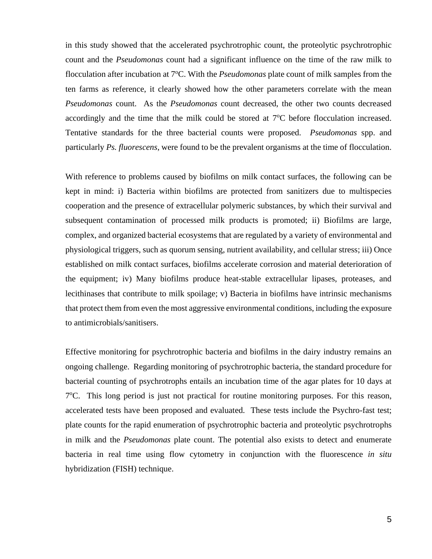in this study showed that the accelerated psychrotrophic count, the proteolytic psychrotrophic count and the *Pseudomonas* count had a significant influence on the time of the raw milk to flocculation after incubation at 7<sup>o</sup>C. With the *Pseudomonas* plate count of milk samples from the ten farms as reference, it clearly showed how the other parameters correlate with the mean *Pseudomonas* count. As the *Pseudomonas* count decreased, the other two counts decreased accordingly and the time that the milk could be stored at 7°C before flocculation increased. Tentative standards for the three bacterial counts were proposed. *Pseudomonas* spp. and particularly *Ps. fluorescens*, were found to be the prevalent organisms at the time of flocculation.

With reference to problems caused by biofilms on milk contact surfaces, the following can be kept in mind: i) Bacteria within biofilms are protected from sanitizers due to multispecies cooperation and the presence of extracellular polymeric substances, by which their survival and subsequent contamination of processed milk products is promoted; ii) Biofilms are large, complex, and organized bacterial ecosystems that are regulated by a variety of environmental and physiological triggers, such as quorum sensing, nutrient availability, and cellular stress; iii) Once established on milk contact surfaces, biofilms accelerate corrosion and material deterioration of the equipment; iv) Many biofilms produce heat-stable extracellular lipases, proteases, and lecithinases that contribute to milk spoilage; v) Bacteria in biofilms have intrinsic mechanisms that protect them from even the most aggressive environmental conditions, including the exposure to antimicrobials/sanitisers.

Effective monitoring for psychrotrophic bacteria and biofilms in the dairy industry remains an ongoing challenge. Regarding monitoring of psychrotrophic bacteria, the standard procedure for bacterial counting of psychrotrophs entails an incubation time of the agar plates for 10 days at 7°C. This long period is just not practical for routine monitoring purposes. For this reason, accelerated tests have been proposed and evaluated. These tests include the Psychro-fast test; plate counts for the rapid enumeration of psychrotrophic bacteria and proteolytic psychrotrophs in milk and the *Pseudomonas* plate count. The potential also exists to detect and enumerate bacteria in real time using flow cytometry in conjunction with the fluorescence *in situ* hybridization (FISH) technique.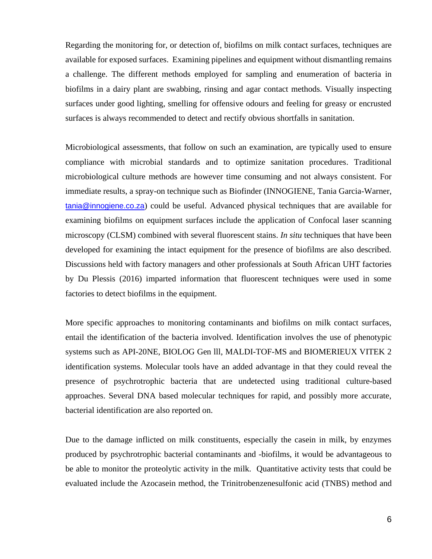Regarding the monitoring for, or detection of, biofilms on milk contact surfaces, techniques are available for exposed surfaces. Examining pipelines and equipment without dismantling remains a challenge. The different methods employed for sampling and enumeration of bacteria in biofilms in a dairy plant are swabbing, rinsing and agar contact methods. Visually inspecting surfaces under good lighting, smelling for offensive odours and feeling for greasy or encrusted surfaces is always recommended to detect and rectify obvious shortfalls in sanitation.

Microbiological assessments, that follow on such an examination, are typically used to ensure compliance with microbial standards and to optimize sanitation procedures. Traditional microbiological culture methods are however time consuming and not always consistent. For immediate results, a spray-on technique such as Biofinder (INNOGIENE, Tania Garcia-Warner, [tania@innogiene.co.za](mailto:tania@innogiene.co.za)) could be useful. Advanced physical techniques that are available for examining biofilms on equipment surfaces include the application of Confocal laser scanning microscopy (CLSM) combined with several fluorescent stains. *In situ* techniques that have been developed for examining the intact equipment for the presence of biofilms are also described. Discussions held with factory managers and other professionals at South African UHT factories by Du Plessis (2016) imparted information that fluorescent techniques were used in some factories to detect biofilms in the equipment.

More specific approaches to monitoring contaminants and biofilms on milk contact surfaces, entail the identification of the bacteria involved. Identification involves the use of phenotypic systems such as API-20NE, BIOLOG Gen lll, MALDI-TOF-MS and BIOMERIEUX VITEK 2 identification systems. Molecular tools have an added advantage in that they could reveal the presence of psychrotrophic bacteria that are undetected using traditional culture-based approaches. Several DNA based molecular techniques for rapid, and possibly more accurate, bacterial identification are also reported on.

Due to the damage inflicted on milk constituents, especially the casein in milk, by enzymes produced by psychrotrophic bacterial contaminants and -biofilms, it would be advantageous to be able to monitor the proteolytic activity in the milk. Quantitative activity tests that could be evaluated include the Azocasein method, the Trinitrobenzenesulfonic acid (TNBS) method and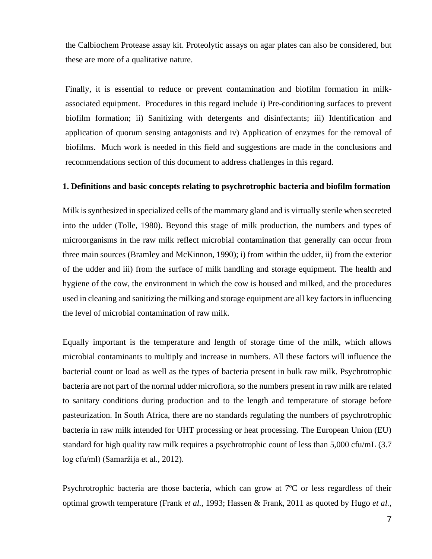the Calbiochem Protease assay kit. Proteolytic assays on agar plates can also be considered, but these are more of a qualitative nature.

Finally, it is essential to reduce or prevent contamination and biofilm formation in milkassociated equipment. Procedures in this regard include i) Pre-conditioning surfaces to prevent biofilm formation; ii) Sanitizing with detergents and disinfectants; iii) Identification and application of quorum sensing antagonists and iv) Application of enzymes for the removal of biofilms. Much work is needed in this field and suggestions are made in the conclusions and recommendations section of this document to address challenges in this regard.

#### **1. Definitions and basic concepts relating to psychrotrophic bacteria and biofilm formation**

Milk is synthesized in specialized cells of the mammary gland and is virtually sterile when secreted into the udder (Tolle, 1980). Beyond this stage of milk production, the numbers and types of microorganisms in the raw milk reflect microbial contamination that generally can occur from three main sources (Bramley and McKinnon, 1990); i) from within the udder, ii) from the exterior of the udder and iii) from the surface of milk handling and storage equipment. The health and hygiene of the cow, the environment in which the cow is housed and milked, and the procedures used in cleaning and sanitizing the milking and storage equipment are all key factors in influencing the level of microbial contamination of raw milk.

Equally important is the temperature and length of storage time of the milk, which allows microbial contaminants to multiply and increase in numbers. All these factors will influence the bacterial count or load as well as the types of bacteria present in bulk raw milk. Psychrotrophic bacteria are not part of the normal udder microflora, so the numbers present in raw milk are related to sanitary conditions during production and to the length and temperature of storage before pasteurization. In South Africa, there are no standards regulating the numbers of psychrotrophic bacteria in raw milk intended for UHT processing or heat processing. The European Union (EU) standard for high quality raw milk requires a psychrotrophic count of less than 5,000 cfu/mL (3.7 log cfu/ml) (Samaržija et al., 2012).

Psychrotrophic bacteria are those bacteria, which can grow at 7ºC or less regardless of their optimal growth temperature (Frank *et al.,* 1993; Hassen & Frank, 2011 as quoted by Hugo *et al.,*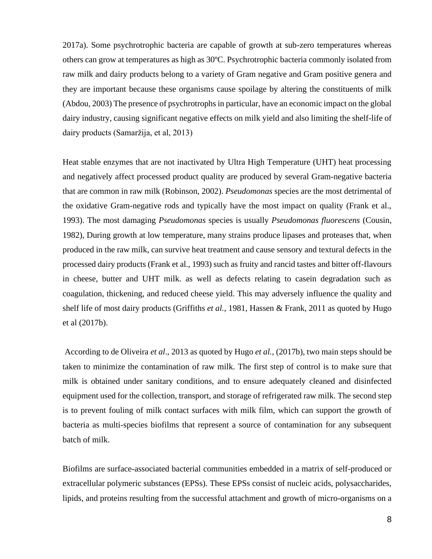2017a). Some psychrotrophic bacteria are capable of growth at sub-zero temperatures whereas others can grow at temperatures as high as 30ºC. Psychrotrophic bacteria commonly isolated from raw milk and dairy products belong to a variety of Gram negative and Gram positive genera and they are important because these organisms cause spoilage by altering the constituents of milk (Abdou, 2003) The presence of psychrotrophs in particular, have an economic impact on the global dairy industry, causing significant negative effects on milk yield and also limiting the shelf-life of dairy products (Samaržija, et al, 2013)

Heat stable enzymes that are not inactivated by Ultra High Temperature (UHT) heat processing and negatively affect processed product quality are produced by several Gram-negative bacteria that are common in raw milk (Robinson, 2002). *Pseudomonas* species are the most detrimental of the oxidative Gram-negative rods and typically have the most impact on quality (Frank et al., 1993). The most damaging *Pseudomonas* species is usually *Pseudomonas fluorescens* (Cousin, 1982), During growth at low temperature, many strains produce lipases and proteases that, when produced in the raw milk, can survive heat treatment and cause sensory and textural defects in the processed dairy products (Frank et al., 1993) such as fruity and rancid tastes and bitter off-flavours in cheese, butter and UHT milk. as well as defects relating to casein degradation such as coagulation, thickening, and reduced cheese yield. This may adversely influence the quality and shelf life of most dairy products (Griffiths *et al.,* 1981, Hassen & Frank, 2011 as quoted by Hugo et al (2017b).

According to de Oliveira *et al*., 2013 as quoted by Hugo *et al.,* (2017b), two main steps should be taken to minimize the contamination of raw milk. The first step of control is to make sure that milk is obtained under sanitary conditions, and to ensure adequately cleaned and disinfected equipment used for the collection, transport, and storage of refrigerated raw milk. The second step is to prevent fouling of milk contact surfaces with milk film, which can support the growth of bacteria as multi-species biofilms that represent a source of contamination for any subsequent batch of milk.

Biofilms are surface-associated bacterial communities embedded in a matrix of self-produced or extracellular polymeric substances (EPSs). These EPSs consist of nucleic acids, polysaccharides, lipids, and proteins resulting from the successful attachment and growth of micro-organisms on a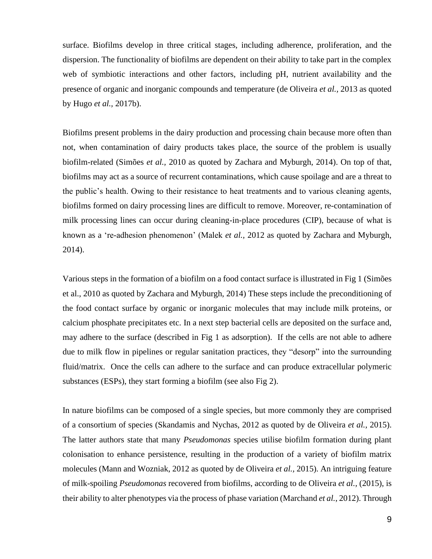surface. Biofilms develop in three critical stages, including adherence, proliferation, and the dispersion. The functionality of biofilms are dependent on their ability to take part in the complex web of symbiotic interactions and other factors, including pH, nutrient availability and the presence of organic and inorganic compounds and temperature (de Oliveira *et al.,* 2013 as quoted by Hugo *et al.,* 2017b).

Biofilms present problems in the dairy production and processing chain because more often than not, when contamination of dairy products takes place, the source of the problem is usually biofilm-related (Simões *et al.,* 2010 as quoted by Zachara and Myburgh, 2014). On top of that, biofilms may act as a source of recurrent contaminations, which cause spoilage and are a threat to the public's health. Owing to their resistance to heat treatments and to various cleaning agents, biofilms formed on dairy processing lines are difficult to remove. Moreover, re-contamination of milk processing lines can occur during cleaning-in-place procedures (CIP), because of what is known as a 're-adhesion phenomenon' (Malek *et al.,* 2012 as quoted by Zachara and Myburgh, 2014).

Various steps in the formation of a biofilm on a food contact surface is illustrated in Fig 1 (Simões et al., 2010 as quoted by Zachara and Myburgh, 2014) These steps include the preconditioning of the food contact surface by organic or inorganic molecules that may include milk proteins, or calcium phosphate precipitates etc. In a next step bacterial cells are deposited on the surface and, may adhere to the surface (described in Fig 1 as adsorption). If the cells are not able to adhere due to milk flow in pipelines or regular sanitation practices, they "desorp" into the surrounding fluid/matrix. Once the cells can adhere to the surface and can produce extracellular polymeric substances (ESPs), they start forming a biofilm (see also Fig 2).

In nature biofilms can be composed of a single species, but more commonly they are comprised of a consortium of species (Skandamis and Nychas, 2012 as quoted by de Oliveira *et al.,* 2015). The latter authors state that many *Pseudomonas* species utilise biofilm formation during plant colonisation to enhance persistence, resulting in the production of a variety of biofilm matrix molecules (Mann and Wozniak, 2012 as quoted by de Oliveira *et al.,* 2015). An intriguing feature of milk-spoiling *Pseudomonas* recovered from biofilms, according to de Oliveira *et al.,* (2015), is their ability to alter phenotypes via the process of phase variation (Marchand *et al.*, 2012). Through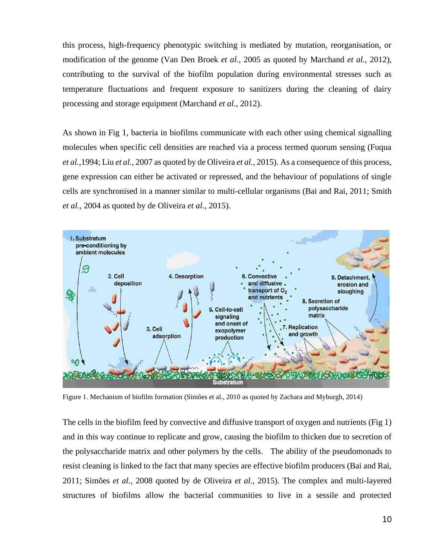this process, high-frequency phenotypic switching is mediated by mutation, reorganisation, or modification of the genome (Van Den Broek *et al.*, 2005 as quoted by Marchand *et al.*, 2012), contributing to the survival of the biofilm population during environmental stresses such as temperature fluctuations and frequent exposure to sanitizers during the cleaning of dairy processing and storage equipment (Marchand *et al.*, 2012).

As shown in Fig 1, bacteria in biofilms communicate with each other using chemical signalling molecules when specific cell densities are reached via a process termed quorum sensing (Fuqua *et al.*,1994; Liu *et al.*, 2007 as quoted by de Oliveira *et al.,* 2015). As a consequence of this process, gene expression can either be activated or repressed, and the behaviour of populations of single cells are synchronised in a manner similar to multi-cellular organisms (Bai and Rai, 2011; Smith *et al.*, 2004 as quoted by de Oliveira *et al.,* 2015).



Figure 1. Mechanism of biofilm formation (Simões et al., 2010 as quoted by Zachara and Myburgh, 2014)

The cells in the biofilm feed by convective and diffusive transport of oxygen and nutrients (Fig 1) and in this way continue to replicate and grow, causing the biofilm to thicken due to secretion of the polysaccharide matrix and other polymers by the cells. The ability of the pseudomonads to resist cleaning is linked to the fact that many species are effective biofilm producers (Bai and Rai, 2011; Simões *et al.*, 2008 quoted by de Oliveira *et al.,* 2015). The complex and multi-layered structures of biofilms allow the bacterial communities to live in a sessile and protected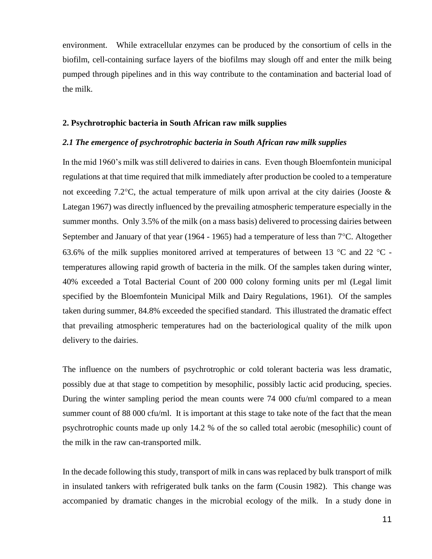environment. While extracellular enzymes can be produced by the consortium of cells in the biofilm, cell-containing surface layers of the biofilms may slough off and enter the milk being pumped through pipelines and in this way contribute to the contamination and bacterial load of the milk.

#### **2. Psychrotrophic bacteria in South African raw milk supplies**

#### *2.1 The emergence of psychrotrophic bacteria in South African raw milk supplies*

In the mid 1960's milk was still delivered to dairies in cans. Even though Bloemfontein municipal regulations at that time required that milk immediately after production be cooled to a temperature not exceeding 7.2 °C, the actual temperature of milk upon arrival at the city dairies (Jooste  $\&$ Lategan 1967) was directly influenced by the prevailing atmospheric temperature especially in the summer months. Only 3.5% of the milk (on a mass basis) delivered to processing dairies between September and January of that year (1964 - 1965) had a temperature of less than  $7^{\circ}$ C. Altogether 63.6% of the milk supplies monitored arrived at temperatures of between 13  $^{\circ}$ C and 22  $^{\circ}$ C temperatures allowing rapid growth of bacteria in the milk. Of the samples taken during winter, 40% exceeded a Total Bacterial Count of 200 000 colony forming units per ml (Legal limit specified by the Bloemfontein Municipal Milk and Dairy Regulations, 1961). Of the samples taken during summer, 84.8% exceeded the specified standard. This illustrated the dramatic effect that prevailing atmospheric temperatures had on the bacteriological quality of the milk upon delivery to the dairies.

The influence on the numbers of psychrotrophic or cold tolerant bacteria was less dramatic, possibly due at that stage to competition by mesophilic, possibly lactic acid producing, species. During the winter sampling period the mean counts were 74 000 cfu/ml compared to a mean summer count of 88 000 cfu/ml. It is important at this stage to take note of the fact that the mean psychrotrophic counts made up only 14.2 % of the so called total aerobic (mesophilic) count of the milk in the raw can-transported milk.

In the decade following this study, transport of milk in cans was replaced by bulk transport of milk in insulated tankers with refrigerated bulk tanks on the farm (Cousin 1982). This change was accompanied by dramatic changes in the microbial ecology of the milk. In a study done in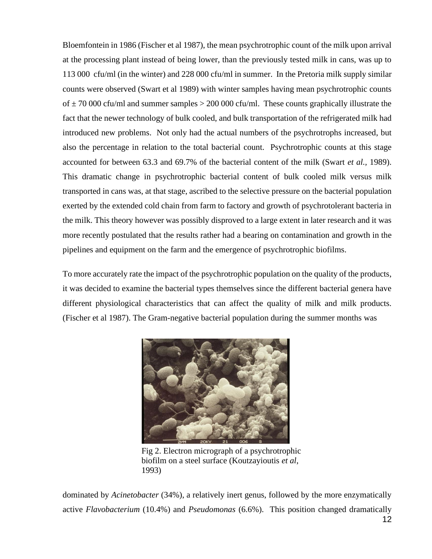Bloemfontein in 1986 (Fischer et al 1987), the mean psychrotrophic count of the milk upon arrival at the processing plant instead of being lower, than the previously tested milk in cans, was up to 113 000 cfu/ml (in the winter) and 228 000 cfu/ml in summer. In the Pretoria milk supply similar counts were observed (Swart et al 1989) with winter samples having mean psychrotrophic counts of  $\pm$  70 000 cfu/ml and summer samples > 200 000 cfu/ml. These counts graphically illustrate the fact that the newer technology of bulk cooled, and bulk transportation of the refrigerated milk had introduced new problems. Not only had the actual numbers of the psychrotrophs increased, but also the percentage in relation to the total bacterial count. Psychrotrophic counts at this stage accounted for between 63.3 and 69.7% of the bacterial content of the milk (Swart *et al.,* 1989). This dramatic change in psychrotrophic bacterial content of bulk cooled milk versus milk transported in cans was, at that stage, ascribed to the selective pressure on the bacterial population exerted by the extended cold chain from farm to factory and growth of psychrotolerant bacteria in the milk. This theory however was possibly disproved to a large extent in later research and it was more recently postulated that the results rather had a bearing on contamination and growth in the pipelines and equipment on the farm and the emergence of psychrotrophic biofilms.

To more accurately rate the impact of the psychrotrophic population on the quality of the products, it was decided to examine the bacterial types themselves since the different bacterial genera have different physiological characteristics that can affect the quality of milk and milk products. (Fischer et al 1987). The Gram-negative bacterial population during the summer months was



Fig 2. Electron micrograph of a psychrotrophic biofilm on a steel surface (Koutzayioutis *et al*, 1993)

dominated by *Acinetobacter* (34%), a relatively inert genus, followed by the more enzymatically active *Flavobacterium* (10.4%) and *Pseudomonas* (6.6%). This position changed dramatically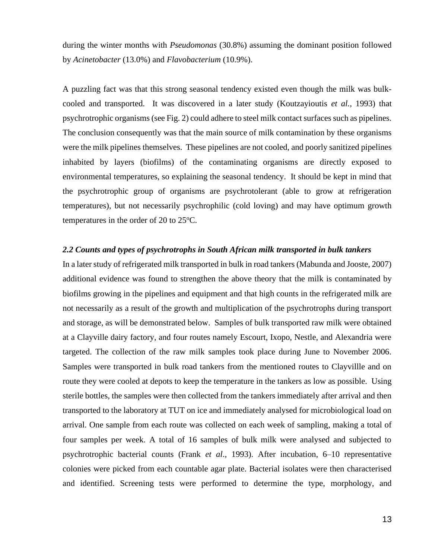during the winter months with *Pseudomonas* (30.8%) assuming the dominant position followed by *Acinetobacter* (13.0%) and *Flavobacterium* (10.9%).

A puzzling fact was that this strong seasonal tendency existed even though the milk was bulkcooled and transported. It was discovered in a later study (Koutzayioutis *et al.,* 1993) that psychrotrophic organisms (see Fig. 2) could adhere to steel milk contact surfaces such as pipelines. The conclusion consequently was that the main source of milk contamination by these organisms were the milk pipelines themselves. These pipelines are not cooled, and poorly sanitized pipelines inhabited by layers (biofilms) of the contaminating organisms are directly exposed to environmental temperatures, so explaining the seasonal tendency. It should be kept in mind that the psychrotrophic group of organisms are psychrotolerant (able to grow at refrigeration temperatures), but not necessarily psychrophilic (cold loving) and may have optimum growth temperatures in the order of 20 to  $25^{\circ}$ C.

#### *2.2 Counts and types of psychrotrophs in South African milk transported in bulk tankers*

In a later study of refrigerated milk transported in bulk in road tankers (Mabunda and Jooste, 2007) additional evidence was found to strengthen the above theory that the milk is contaminated by biofilms growing in the pipelines and equipment and that high counts in the refrigerated milk are not necessarily as a result of the growth and multiplication of the psychrotrophs during transport and storage, as will be demonstrated below. Samples of bulk transported raw milk were obtained at a Clayville dairy factory, and four routes namely Escourt, Ixopo, Nestle, and Alexandria were targeted. The collection of the raw milk samples took place during June to November 2006. Samples were transported in bulk road tankers from the mentioned routes to Clayvillle and on route they were cooled at depots to keep the temperature in the tankers as low as possible. Using sterile bottles, the samples were then collected from the tankers immediately after arrival and then transported to the laboratory at TUT on ice and immediately analysed for microbiological load on arrival. One sample from each route was collected on each week of sampling, making a total of four samples per week. A total of 16 samples of bulk milk were analysed and subjected to psychrotrophic bacterial counts (Frank *et al*., 1993). After incubation, 6–10 representative colonies were picked from each countable agar plate. Bacterial isolates were then characterised and identified. Screening tests were performed to determine the type, morphology, and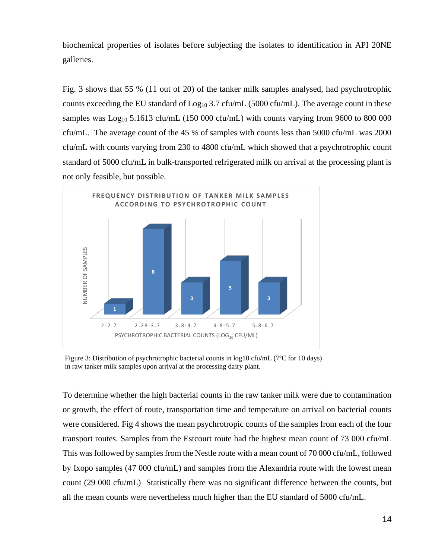biochemical properties of isolates before subjecting the isolates to identification in API 20NE galleries.

Fig. 3 shows that 55 % (11 out of 20) of the tanker milk samples analysed, had psychrotrophic counts exceeding the EU standard of  $Log_{10} 3.7$  cfu/mL (5000 cfu/mL). The average count in these samples was  $Log_{10} 5.1613$  cfu/mL (150 000 cfu/mL) with counts varying from 9600 to 800 000 cfu/mL. The average count of the 45 % of samples with counts less than 5000 cfu/mL was 2000 cfu/mL with counts varying from 230 to 4800 cfu/mL which showed that a psychrotrophic count standard of 5000 cfu/mL in bulk-transported refrigerated milk on arrival at the processing plant is not only feasible, but possible.



Figure 3: Distribution of psychrotrophic bacterial counts in log10 cfu/mL (7°C for 10 days) in raw tanker milk samples upon arrival at the processing dairy plant.

To determine whether the high bacterial counts in the raw tanker milk were due to contamination or growth, the effect of route, transportation time and temperature on arrival on bacterial counts were considered. Fig 4 shows the mean psychrotropic counts of the samples from each of the four transport routes. Samples from the Estcourt route had the highest mean count of 73 000 cfu/mL This was followed by samples from the Nestle route with a mean count of 70 000 cfu/mL, followed by Ixopo samples (47 000 cfu/mL) and samples from the Alexandria route with the lowest mean count (29 000 cfu/mL) Statistically there was no significant difference between the counts, but all the mean counts were nevertheless much higher than the EU standard of 5000 cfu/mL.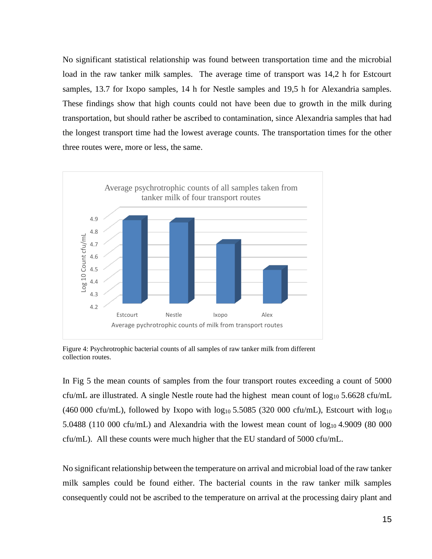No significant statistical relationship was found between transportation time and the microbial load in the raw tanker milk samples. The average time of transport was 14,2 h for Estcourt samples, 13.7 for Ixopo samples, 14 h for Nestle samples and 19,5 h for Alexandria samples. These findings show that high counts could not have been due to growth in the milk during transportation, but should rather be ascribed to contamination, since Alexandria samples that had the longest transport time had the lowest average counts. The transportation times for the other three routes were, more or less, the same.



Figure 4: Psychrotrophic bacterial counts of all samples of raw tanker milk from different collection routes.

In Fig 5 the mean counts of samples from the four transport routes exceeding a count of 5000 cfu/mL are illustrated. A single Nestle route had the highest mean count of  $log_{10} 5.6628$  cfu/mL (460 000 cfu/mL), followed by Ixopo with  $\log_{10} 5.5085$  (320 000 cfu/mL), Estcourt with  $\log_{10}$ 5.0488 (110 000 cfu/mL) and Alexandria with the lowest mean count of  $\log_{10}$  4.9009 (80 000 cfu/mL). All these counts were much higher that the EU standard of 5000 cfu/mL.

No significant relationship between the temperature on arrival and microbial load of the raw tanker milk samples could be found either. The bacterial counts in the raw tanker milk samples consequently could not be ascribed to the temperature on arrival at the processing dairy plant and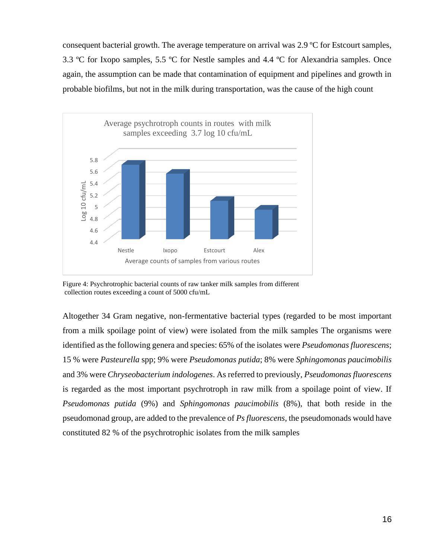consequent bacterial growth. The average temperature on arrival was 2.9 ºC for Estcourt samples, 3.3 ºC for Ixopo samples, 5.5 ºC for Nestle samples and 4.4 ºC for Alexandria samples. Once again, the assumption can be made that contamination of equipment and pipelines and growth in probable biofilms, but not in the milk during transportation, was the cause of the high count



Figure 4: Psychrotrophic bacterial counts of raw tanker milk samples from different collection routes exceeding a count of 5000 cfu/mL

Altogether 34 Gram negative, non-fermentative bacterial types (regarded to be most important from a milk spoilage point of view) were isolated from the milk samples The organisms were identified as the following genera and species: 65% of the isolates were *Pseudomonas fluorescens*; 15 % were *Pasteurella* spp; 9% were *Pseudomonas putida*; 8% were *Sphingomonas paucimobilis* and 3% were *Chryseobacterium indologenes*. As referred to previously, *Pseudomonas fluorescens* is regarded as the most important psychrotroph in raw milk from a spoilage point of view. If *Pseudomonas putida* (9%) and *Sphingomonas paucimobilis* (8%), that both reside in the pseudomonad group, are added to the prevalence of *Ps fluorescens*, the pseudomonads would have constituted 82 % of the psychrotrophic isolates from the milk samples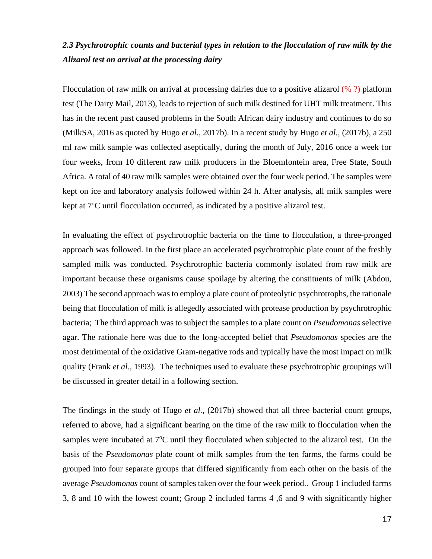# *2.3 Psychrotrophic counts and bacterial types in relation to the flocculation of raw milk by the Alizarol test on arrival at the processing dairy*

Flocculation of raw milk on arrival at processing dairies due to a positive alizarol (% ?) platform test (The Dairy Mail, 2013), leads to rejection of such milk destined for UHT milk treatment. This has in the recent past caused problems in the South African dairy industry and continues to do so (MilkSA, 2016 as quoted by Hugo *et al.,* 2017b). In a recent study by Hugo *et al.,* (2017b), a 250 ml raw milk sample was collected aseptically, during the month of July, 2016 once a week for four weeks, from 10 different raw milk producers in the Bloemfontein area, Free State, South Africa. A total of 40 raw milk samples were obtained over the four week period. The samples were kept on ice and laboratory analysis followed within 24 h. After analysis, all milk samples were kept at 7<sup>o</sup>C until flocculation occurred, as indicated by a positive alizarol test.

In evaluating the effect of psychrotrophic bacteria on the time to flocculation, a three-pronged approach was followed. In the first place an accelerated psychrotrophic plate count of the freshly sampled milk was conducted. Psychrotrophic bacteria commonly isolated from raw milk are important because these organisms cause spoilage by altering the constituents of milk (Abdou, 2003) The second approach was to employ a plate count of proteolytic psychrotrophs, the rationale being that flocculation of milk is allegedly associated with protease production by psychrotrophic bacteria; The third approach was to subject the samples to a plate count on *Pseudomonas* selective agar. The rationale here was due to the long-accepted belief that *Pseudomonas* species are the most detrimental of the oxidative Gram-negative rods and typically have the most impact on milk quality (Frank *et al.,* 1993). The techniques used to evaluate these psychrotrophic groupings will be discussed in greater detail in a following section.

The findings in the study of Hugo *et al.,* (2017b) showed that all three bacterial count groups, referred to above, had a significant bearing on the time of the raw milk to flocculation when the samples were incubated at  $7^{\circ}$ C until they flocculated when subjected to the alizarol test. On the basis of the *Pseudomonas* plate count of milk samples from the ten farms, the farms could be grouped into four separate groups that differed significantly from each other on the basis of the average *Pseudomonas* count of samples taken over the four week period.. Group 1 included farms 3, 8 and 10 with the lowest count; Group 2 included farms 4 ,6 and 9 with significantly higher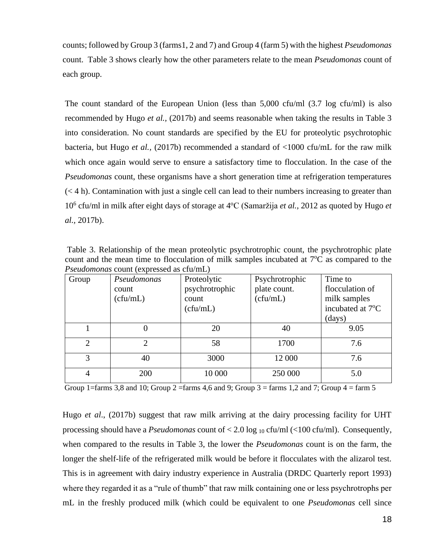counts; followed by Group 3 (farms1, 2 and 7) and Group 4 (farm 5) with the highest *Pseudomonas* count. Table 3 shows clearly how the other parameters relate to the mean *Pseudomonas* count of each group.

The count standard of the European Union (less than 5,000 cfu/ml (3.7 log cfu/ml) is also recommended by Hugo *et al.,* (2017b) and seems reasonable when taking the results in Table 3 into consideration. No count standards are specified by the EU for proteolytic psychrotophic bacteria, but Hugo *et al.,* (2017b) recommended a standard of <1000 cfu/mL for the raw milk which once again would serve to ensure a satisfactory time to flocculation. In the case of the *Pseudomonas* count, these organisms have a short generation time at refrigeration temperatures  $(< 4 h$ ). Contamination with just a single cell can lead to their numbers increasing to greater than 10<sup>6</sup> cfu/ml in milk after eight days of storage at 4°C (Samaržija et al., 2012 as quoted by Hugo et *al.,* 2017b).

Table 3. Relationship of the mean proteolytic psychrotrophic count, the psychrotrophic plate count and the mean time to flocculation of milk samples incubated at  $7^{\circ}$ C as compared to the *Pseudomonas* count (expressed as cfu/mL)

| I beauomonas count (expressed as era/mL) |                |                |                |                  |  |  |  |  |
|------------------------------------------|----------------|----------------|----------------|------------------|--|--|--|--|
| Group                                    | Pseudomonas    | Proteolytic    | Psychrotrophic | Time to          |  |  |  |  |
|                                          | count          | psychrotrophic | plate count.   | flocculation of  |  |  |  |  |
|                                          | (cfu/mL)       | count          | (cfu/mL)       | milk samples     |  |  |  |  |
|                                          |                | (cfu/mL)       |                | incubated at 7°C |  |  |  |  |
|                                          |                |                |                | (days)           |  |  |  |  |
|                                          | 0              | 20             | 40             | 9.05             |  |  |  |  |
| $\overline{2}$                           | $\overline{2}$ | 58             | 1700           | 7.6              |  |  |  |  |
| 3                                        | 40             | 3000           | 12 000         | 7.6              |  |  |  |  |
| 4                                        | 200            | 10 000         | 250 000        | 5.0              |  |  |  |  |

Group 1=farms 3,8 and 10; Group 2 =farms 4,6 and 9; Group 3 = farms 1,2 and 7; Group 4 = farm 5

Hugo *et al*., (2017b) suggest that raw milk arriving at the dairy processing facility for UHT processing should have a *Pseudomonas* count of < 2.0 log <sup>10</sup> cfu/ml (<100 cfu/ml). Consequently, when compared to the results in Table 3, the lower the *Pseudomonas* count is on the farm, the longer the shelf-life of the refrigerated milk would be before it flocculates with the alizarol test. This is in agreement with dairy industry experience in Australia (DRDC Quarterly report 1993) where they regarded it as a "rule of thumb" that raw milk containing one or less psychrotrophs per mL in the freshly produced milk (which could be equivalent to one *Pseudomonas* cell since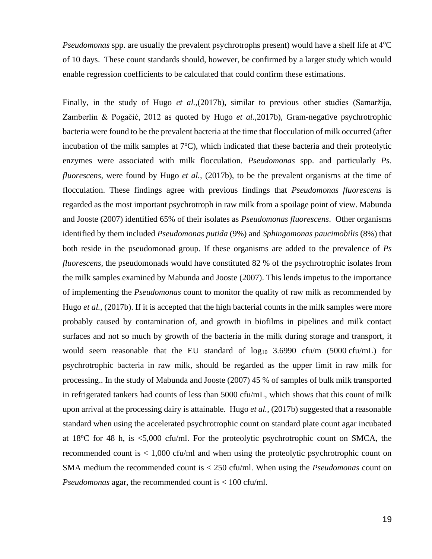*Pseudomonas* spp. are usually the prevalent psychrotrophs present) would have a shelf life at 4<sup>o</sup>C of 10 days. These count standards should, however, be confirmed by a larger study which would enable regression coefficients to be calculated that could confirm these estimations.

Finally, in the study of Hugo *et al.,*(2017b), similar to previous other studies (Samaržija, Zamberlin & Pogačić, 2012 as quoted by Hugo *et al.,*2017b), Gram-negative psychrotrophic bacteria were found to be the prevalent bacteria at the time that flocculation of milk occurred (after incubation of the milk samples at  $7^{\circ}$ C), which indicated that these bacteria and their proteolytic enzymes were associated with milk flocculation. *Pseudomonas* spp. and particularly *Ps. fluorescens*, were found by Hugo *et al.,* (2017b), to be the prevalent organisms at the time of flocculation. These findings agree with previous findings that *Pseudomonas fluorescens* is regarded as the most important psychrotroph in raw milk from a spoilage point of view. Mabunda and Jooste (2007) identified 65% of their isolates as *Pseudomonas fluorescens*. Other organisms identified by them included *Pseudomonas putida* (9%) and *Sphingomonas paucimobilis* (8%) that both reside in the pseudomonad group. If these organisms are added to the prevalence of *Ps fluorescens*, the pseudomonads would have constituted 82 % of the psychrotrophic isolates from the milk samples examined by Mabunda and Jooste (2007). This lends impetus to the importance of implementing the *Pseudomonas* count to monitor the quality of raw milk as recommended by Hugo *et al.*, (2017b). If it is accepted that the high bacterial counts in the milk samples were more probably caused by contamination of, and growth in biofilms in pipelines and milk contact surfaces and not so much by growth of the bacteria in the milk during storage and transport, it would seem reasonable that the EU standard of  $log_{10}$  3.6990 cfu/m (5000 cfu/mL) for psychrotrophic bacteria in raw milk, should be regarded as the upper limit in raw milk for processing.. In the study of Mabunda and Jooste (2007) 45 % of samples of bulk milk transported in refrigerated tankers had counts of less than 5000 cfu/mL, which shows that this count of milk upon arrival at the processing dairy is attainable. Hugo *et al.,* (2017b) suggested that a reasonable standard when using the accelerated psychrotrophic count on standard plate count agar incubated at  $18^{\circ}$ C for 48 h, is  $\lt 5,000$  cfu/ml. For the proteolytic psychrotrophic count on SMCA, the recommended count is < 1,000 cfu/ml and when using the proteolytic psychrotrophic count on SMA medium the recommended count is < 250 cfu/ml. When using the *Pseudomonas* count on *Pseudomonas* agar, the recommended count is < 100 cfu/ml.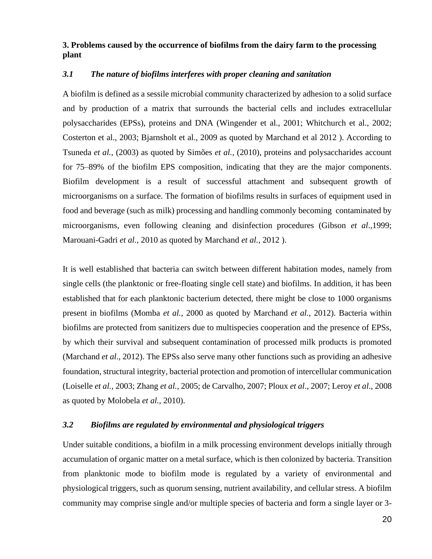## **3. Problems caused by the occurrence of biofilms from the dairy farm to the processing plant**

## *3.1 The nature of biofilms interferes with proper cleaning and sanitation*

A biofilm is defined as a sessile microbial community characterized by adhesion to a solid surface and by production of a matrix that surrounds the bacterial cells and includes extracellular polysaccharides (EPSs), proteins and DNA (Wingender et al., 2001; Whitchurch et al., 2002; Costerton et al., 2003; Bjarnsholt et al., 2009 as quoted by Marchand et al 2012 ). According to Tsuneda *et al.,* (2003) as quoted by Simões *et al.,* (2010), proteins and polysaccharides account for 75–89% of the biofilm EPS composition, indicating that they are the major components. Biofilm development is a result of successful attachment and subsequent growth of microorganisms on a surface. The formation of biofilms results in surfaces of equipment used in food and beverage (such as milk) processing and handling commonly becoming contaminated by microorganisms, even following cleaning and disinfection procedures (Gibson *et al*.,1999; Marouani-Gadri *et al.*, 2010 as quoted by Marchand *et al.,* 2012 ).

It is well established that bacteria can switch between different habitation modes, namely from single cells (the planktonic or free-floating single cell state) and biofilms. In addition, it has been established that for each planktonic bacterium detected, there might be close to 1000 organisms present in biofilms (Momba *et al.,* 2000 as quoted by Marchand *et al.,* 2012). Bacteria within biofilms are protected from sanitizers due to multispecies cooperation and the presence of EPSs, by which their survival and subsequent contamination of processed milk products is promoted (Marchand *et al.,* 2012). The EPSs also serve many other functions such as providing an adhesive foundation, structural integrity, bacterial protection and promotion of intercellular communication (Loiselle *et al.,* 2003; Zhang *et al.,* 2005; de Carvalho, 2007; Ploux *et al*., 2007; Leroy *et al*., 2008 as quoted by Molobela *et al.,* 2010).

## *3.2 Biofilms are regulated by environmental and physiological triggers*

Under suitable conditions, a biofilm in a milk processing environment develops initially through accumulation of organic matter on a metal surface, which is then colonized by bacteria. Transition from planktonic mode to biofilm mode is regulated by a variety of environmental and physiological triggers, such as quorum sensing, nutrient availability, and cellular stress. A biofilm community may comprise single and/or multiple species of bacteria and form a single layer or 3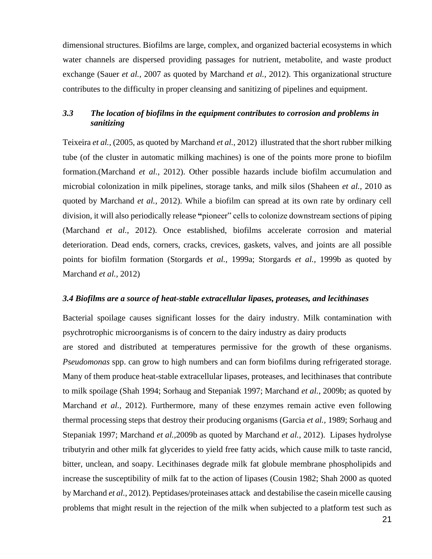dimensional structures. Biofilms are large, complex, and organized bacterial ecosystems in which water channels are dispersed providing passages for nutrient, metabolite, and waste product exchange (Sauer *et al.,* 2007 as quoted by Marchand *et al.,* 2012). This organizational structure contributes to the difficulty in proper cleansing and sanitizing of pipelines and equipment.

## *3.3 The location of biofilms in the equipment contributes to corrosion and problems in sanitizing*

Teixeira *et al.,* (2005, as quoted by Marchand *et al.,* 2012) illustrated that the short rubber milking tube (of the cluster in automatic milking machines) is one of the points more prone to biofilm formation.(Marchand *et al.,* 2012). Other possible hazards include biofilm accumulation and microbial colonization in milk pipelines, storage tanks, and milk silos (Shaheen *et al.,* 2010 as quoted by Marchand *et al.,* 2012). While a biofilm can spread at its own rate by ordinary cell division, it will also periodically release **"**pioneer" cells to colonize downstream sections of piping (Marchand *et al.,* 2012). Once established, biofilms accelerate corrosion and material deterioration. Dead ends, corners, cracks, crevices, gaskets, valves, and joints are all possible points for biofilm formation (Storgards *et al.,* 1999a; Storgards *et al.,* 1999b as quoted by Marchand *et al.,* 2012)

### *3.4 Biofilms are a source of heat-stable extracellular lipases, proteases, and lecithinases*

Bacterial spoilage causes significant losses for the dairy industry. Milk contamination with psychrotrophic microorganisms is of concern to the dairy industry as dairy products are stored and distributed at temperatures permissive for the growth of these organisms. *Pseudomonas* spp. can grow to high numbers and can form biofilms during refrigerated storage. Many of them produce heat-stable extracellular lipases, proteases, and lecithinases that contribute to milk spoilage (Shah 1994; Sorhaug and Stepaniak 1997; Marchand *et al.,* 2009b; as quoted by Marchand *et al.,* 2012). Furthermore, many of these enzymes remain active even following thermal processing steps that destroy their producing organisms (Garcia *et al.,* 1989; Sorhaug and Stepaniak 1997; Marchand *et al.,*2009b as quoted by Marchand *et al.,* 2012). Lipases hydrolyse tributyrin and other milk fat glycerides to yield free fatty acids, which cause milk to taste rancid, bitter, unclean, and soapy. Lecithinases degrade milk fat globule membrane phospholipids and increase the susceptibility of milk fat to the action of lipases (Cousin 1982; Shah 2000 as quoted by Marchand *et al.,* 2012). Peptidases/proteinases attack and destabilise the casein micelle causing problems that might result in the rejection of the milk when subjected to a platform test such as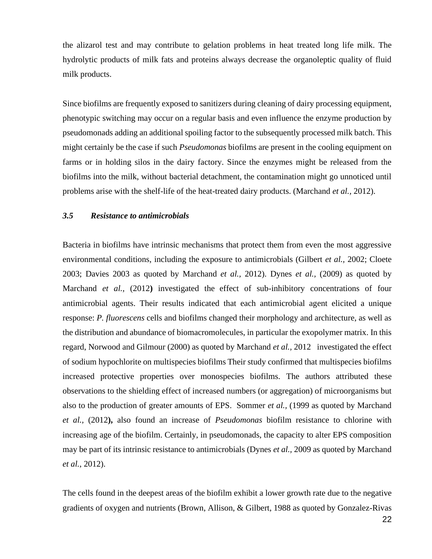the alizarol test and may contribute to gelation problems in heat treated long life milk. The hydrolytic products of milk fats and proteins always decrease the organoleptic quality of fluid milk products.

Since biofilms are frequently exposed to sanitizers during cleaning of dairy processing equipment, phenotypic switching may occur on a regular basis and even influence the enzyme production by pseudomonads adding an additional spoiling factor to the subsequently processed milk batch. This might certainly be the case if such *Pseudomonas* biofilms are present in the cooling equipment on farms or in holding silos in the dairy factory. Since the enzymes might be released from the biofilms into the milk, without bacterial detachment, the contamination might go unnoticed until problems arise with the shelf-life of the heat-treated dairy products. (Marchand *et al.,* 2012).

### *3.5 Resistance to antimicrobials*

Bacteria in biofilms have intrinsic mechanisms that protect them from even the most aggressive environmental conditions, including the exposure to antimicrobials (Gilbert *et al.,* 2002; Cloete 2003; Davies 2003 as quoted by Marchand *et al.,* 2012). Dynes *et al.,* (2009) as quoted by Marchand *et al.,* (2012**)** investigated the effect of sub-inhibitory concentrations of four antimicrobial agents. Their results indicated that each antimicrobial agent elicited a unique response: *P. fluorescens* cells and biofilms changed their morphology and architecture, as well as the distribution and abundance of biomacromolecules, in particular the exopolymer matrix. In this regard, Norwood and Gilmour (2000) as quoted by Marchand *et al.,* 2012 investigated the effect of sodium hypochlorite on multispecies biofilms Their study confirmed that multispecies biofilms increased protective properties over monospecies biofilms. The authors attributed these observations to the shielding effect of increased numbers (or aggregation) of microorganisms but also to the production of greater amounts of EPS. Sommer *et al.,* (1999 as quoted by Marchand *et al.,* (2012**),** also found an increase of *Pseudomonas* biofilm resistance to chlorine with increasing age of the biofilm. Certainly, in pseudomonads, the capacity to alter EPS composition may be part of its intrinsic resistance to antimicrobials (Dynes *et al.,* 2009 as quoted by Marchand *et al.*, 2012).

The cells found in the deepest areas of the biofilm exhibit a lower growth rate due to the negative gradients of oxygen and nutrients (Brown, Allison, & Gilbert, 1988 as quoted by Gonzalez-Rivas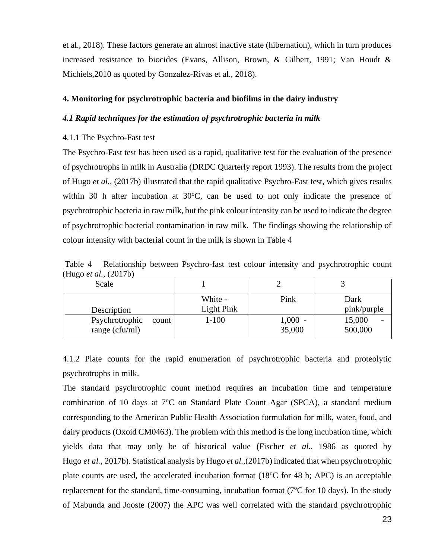et al., 2018). These factors generate an almost inactive state (hibernation), which in turn produces increased resistance to biocides (Evans, Allison, Brown, & Gilbert, 1991; Van Houdt & Michiels,2010 as quoted by Gonzalez-Rivas et al., 2018).

#### **4. Monitoring for psychrotrophic bacteria and biofilms in the dairy industry**

### *4.1 Rapid techniques for the estimation of psychrotrophic bacteria in milk*

## 4.1.1 The Psychro-Fast test

The Psychro-Fast test has been used as a rapid, qualitative test for the evaluation of the presence of psychrotrophs in milk in Australia (DRDC Quarterly report 1993). The results from the project of Hugo *et al.,* (2017b) illustrated that the rapid qualitative Psychro-Fast test, which gives results within 30 h after incubation at  $30^{\circ}$ C, can be used to not only indicate the presence of psychrotrophic bacteria in raw milk, but the pink colour intensity can be used to indicate the degree of psychrotrophic bacterial contamination in raw milk. The findings showing the relationship of colour intensity with bacterial count in the milk is shown in Table 4

Table 4 Relationship between Psychro-fast test colour intensity and psychrotrophic count (Hugo *et al.,* (2017b)

| Scale                   |            |        |             |
|-------------------------|------------|--------|-------------|
|                         | White -    | Pink   | Dark        |
| Description             | Light Pink |        | pink/purple |
| Psychrotrophic<br>count | $1 - 100$  | 1,000  | 15,000      |
| range $(cfu/ml)$        |            | 35,000 | 500,000     |

4.1.2 Plate counts for the rapid enumeration of psychrotrophic bacteria and proteolytic psychrotrophs in milk.

The standard psychrotrophic count method requires an incubation time and temperature combination of 10 days at  $7^{\circ}$ C on Standard Plate Count Agar (SPCA), a standard medium corresponding to the American Public Health Association formulation for milk, water, food, and dairy products (Oxoid CM0463). The problem with this method is the long incubation time, which yields data that may only be of historical value (Fischer *et al.,* 1986 as quoted by Hugo *et al.,* 2017b). Statistical analysis by Hugo *et al.,*(2017b) indicated that when psychrotrophic plate counts are used, the accelerated incubation format  $(18^{\circ}C)$  for 48 h; APC) is an acceptable replacement for the standard, time-consuming, incubation format ( $7^{\circ}$ C for 10 days). In the study of Mabunda and Jooste (2007) the APC was well correlated with the standard psychrotrophic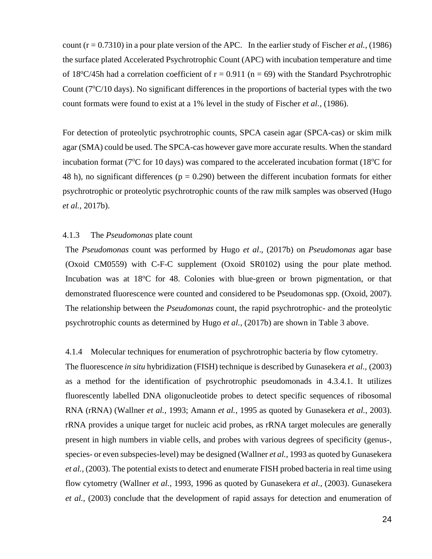count (r = 0.7310) in a pour plate version of the APC. In the earlier study of Fischer *et al.,* (1986) the surface plated Accelerated Psychrotrophic Count (APC) with incubation temperature and time of 18<sup>o</sup>C/45h had a correlation coefficient of  $r = 0.911$  ( $n = 69$ ) with the Standard Psychrotrophic Count ( $7^{\circ}$ C/10 days). No significant differences in the proportions of bacterial types with the two count formats were found to exist at a 1% level in the study of Fischer *et al.,* (1986).

For detection of proteolytic psychrotrophic counts, SPCA casein agar (SPCA-cas) or skim milk agar (SMA) could be used. The SPCA-cas however gave more accurate results. When the standard incubation format ( $7^{\circ}$ C for 10 days) was compared to the accelerated incubation format (18 $^{\circ}$ C for 48 h), no significant differences ( $p = 0.290$ ) between the different incubation formats for either psychrotrophic or proteolytic psychrotrophic counts of the raw milk samples was observed (Hugo *et al.,* 2017b).

## 4.1.3 The *Pseudomonas* plate count

The *Pseudomonas* count was performed by Hugo *et al*., (2017b) on *Pseudomonas* agar base (Oxoid CM0559) with C-F-C supplement (Oxoid SR0102) using the pour plate method. Incubation was at 18<sup>o</sup>C for 48. Colonies with blue-green or brown pigmentation, or that demonstrated fluorescence were counted and considered to be Pseudomonas spp. (Oxoid, 2007). The relationship between the *Pseudomonas* count, the rapid psychrotrophic- and the proteolytic psychrotrophic counts as determined by Hugo *et al.,* (2017b) are shown in Table 3 above.

## 4.1.4 Molecular techniques for enumeration of psychrotrophic bacteria by flow cytometry.

The fluorescence *in situ* hybridization (FISH) technique is described by Gunasekera *et al.,* (2003) as a method for the identification of psychrotrophic pseudomonads in 4.3.4.1. It utilizes fluorescently labelled DNA oligonucleotide probes to detect specific sequences of ribosomal RNA (rRNA) (Wallner *et al.,* 1993; Amann *et al.,* 1995 as quoted by Gunasekera *et al.,* 2003). rRNA provides a unique target for nucleic acid probes, as rRNA target molecules are generally present in high numbers in viable cells, and probes with various degrees of specificity (genus-, species- or even subspecies-level) may be designed (Wallner *et al.,* 1993 as quoted by Gunasekera *et al.,* (2003). The potential exists to detect and enumerate FISH probed bacteria in real time using flow cytometry (Wallner *et al.,* 1993, 1996 as quoted by Gunasekera *et al.,* (2003). Gunasekera *et al.,* (2003) conclude that the development of rapid assays for detection and enumeration of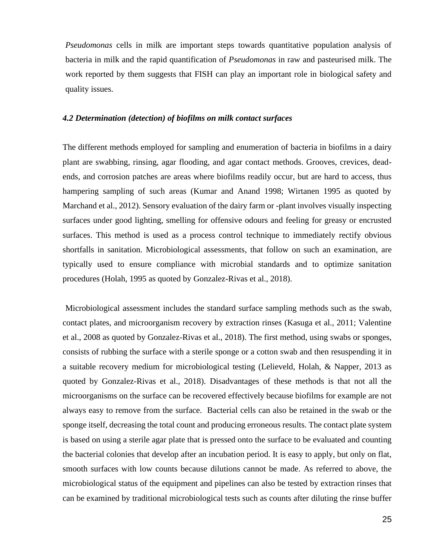*Pseudomonas* cells in milk are important steps towards quantitative population analysis of bacteria in milk and the rapid quantification of *Pseudomonas* in raw and pasteurised milk. The work reported by them suggests that FISH can play an important role in biological safety and quality issues.

## *4.2 Determination (detection) of biofilms on milk contact surfaces*

The different methods employed for sampling and enumeration of bacteria in biofilms in a dairy plant are swabbing, rinsing, agar flooding, and agar contact methods. Grooves, crevices, deadends, and corrosion patches are areas where biofilms readily occur, but are hard to access, thus hampering sampling of such areas (Kumar and Anand 1998; Wirtanen 1995 as quoted by Marchand et al., 2012). Sensory evaluation of the dairy farm or -plant involves visually inspecting surfaces under good lighting, smelling for offensive odours and feeling for greasy or encrusted surfaces. This method is used as a process control technique to immediately rectify obvious shortfalls in sanitation. Microbiological assessments, that follow on such an examination, are typically used to ensure compliance with microbial standards and to optimize sanitation procedures (Holah, 1995 as quoted by Gonzalez-Rivas et al., 2018).

Microbiological assessment includes the standard surface sampling methods such as the swab, contact plates, and microorganism recovery by extraction rinses (Kasuga et al., 2011; Valentine et al., 2008 as quoted by Gonzalez-Rivas et al., 2018). The first method, using swabs or sponges, consists of rubbing the surface with a sterile sponge or a cotton swab and then resuspending it in a suitable recovery medium for microbiological testing (Lelieveld, Holah, & Napper, 2013 as quoted by Gonzalez-Rivas et al., 2018). Disadvantages of these methods is that not all the microorganisms on the surface can be recovered effectively because biofilms for example are not always easy to remove from the surface. Bacterial cells can also be retained in the swab or the sponge itself, decreasing the total count and producing erroneous results. The contact plate system is based on using a sterile agar plate that is pressed onto the surface to be evaluated and counting the bacterial colonies that develop after an incubation period. It is easy to apply, but only on flat, smooth surfaces with low counts because dilutions cannot be made. As referred to above, the microbiological status of the equipment and pipelines can also be tested by extraction rinses that can be examined by traditional microbiological tests such as counts after diluting the rinse buffer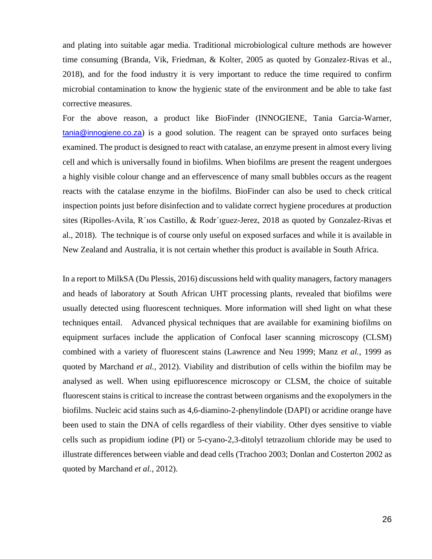and plating into suitable agar media. Traditional microbiological culture methods are however time consuming (Branda, Vik, Friedman, & Kolter, 2005 as quoted by Gonzalez-Rivas et al., 2018), and for the food industry it is very important to reduce the time required to confirm microbial contamination to know the hygienic state of the environment and be able to take fast corrective measures.

For the above reason, a product like BioFinder (INNOGIENE, Tania Garcia-Warner, [tania@innogiene.co.za](mailto:tania@innogiene.co.za)) is a good solution. The reagent can be sprayed onto surfaces being examined. The product is designed to react with catalase, an enzyme present in almost every living cell and which is universally found in biofilms. When biofilms are present the reagent undergoes a highly visible colour change and an effervescence of many small bubbles occurs as the reagent reacts with the catalase enzyme in the biofilms. BioFinder can also be used to check critical inspection points just before disinfection and to validate correct hygiene procedures at production sites (Ripolles-Avila, R´ıos Castillo, & Rodr´ıguez-Jerez, 2018 as quoted by Gonzalez-Rivas et al., 2018). The technique is of course only useful on exposed surfaces and while it is available in New Zealand and Australia, it is not certain whether this product is available in South Africa.

In a report to MilkSA (Du Plessis, 2016) discussions held with quality managers, factory managers and heads of laboratory at South African UHT processing plants, revealed that biofilms were usually detected using fluorescent techniques. More information will shed light on what these techniques entail. Advanced physical techniques that are available for examining biofilms on equipment surfaces include the application of Confocal laser scanning microscopy (CLSM) combined with a variety of fluorescent stains (Lawrence and Neu 1999; Manz *et al.,* 1999 as quoted by Marchand *et al.,* 2012). Viability and distribution of cells within the biofilm may be analysed as well. When using epifluorescence microscopy or CLSM, the choice of suitable fluorescent stains is critical to increase the contrast between organisms and the exopolymers in the biofilms. Nucleic acid stains such as 4,6-diamino-2-phenylindole (DAPI) or acridine orange have been used to stain the DNA of cells regardless of their viability. Other dyes sensitive to viable cells such as propidium iodine (PI) or 5-cyano-2,3-ditolyl tetrazolium chloride may be used to illustrate differences between viable and dead cells (Trachoo 2003; Donlan and Costerton 2002 as quoted by Marchand *et al.,* 2012).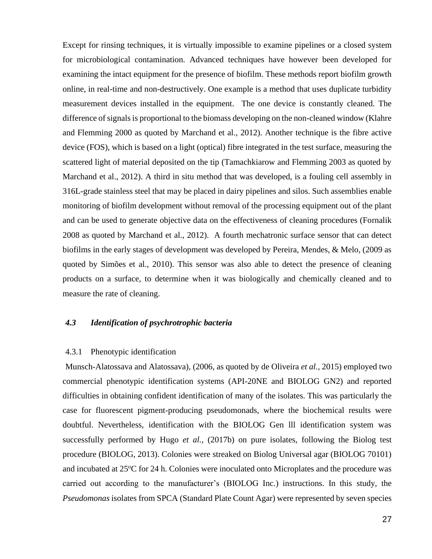Except for rinsing techniques, it is virtually impossible to examine pipelines or a closed system for microbiological contamination. Advanced techniques have however been developed for examining the intact equipment for the presence of biofilm. These methods report biofilm growth online, in real-time and non-destructively. One example is a method that uses duplicate turbidity measurement devices installed in the equipment. The one device is constantly cleaned. The difference of signals is proportional to the biomass developing on the non-cleaned window (Klahre and Flemming 2000 as quoted by Marchand et al., 2012). Another technique is the fibre active device (FOS), which is based on a light (optical) fibre integrated in the test surface, measuring the scattered light of material deposited on the tip (Tamachkiarow and Flemming 2003 as quoted by Marchand et al., 2012). A third in situ method that was developed, is a fouling cell assembly in 316L-grade stainless steel that may be placed in dairy pipelines and silos. Such assemblies enable monitoring of biofilm development without removal of the processing equipment out of the plant and can be used to generate objective data on the effectiveness of cleaning procedures (Fornalik 2008 as quoted by Marchand et al., 2012). A fourth mechatronic surface sensor that can detect biofilms in the early stages of development was developed by Pereira, Mendes, & Melo, (2009 as quoted by Simões et al., 2010). This sensor was also able to detect the presence of cleaning products on a surface, to determine when it was biologically and chemically cleaned and to measure the rate of cleaning.

## *4.3 Identification of psychrotrophic bacteria*

#### 4.3.1 Phenotypic identification

Munsch-Alatossava and Alatossava), (2006, as quoted by de Oliveira *et al.,* 2015) employed two commercial phenotypic identification systems (API-20NE and BIOLOG GN2) and reported difficulties in obtaining confident identification of many of the isolates. This was particularly the case for fluorescent pigment-producing pseudomonads, where the biochemical results were doubtful. Nevertheless, identification with the BIOLOG Gen lll identification system was successfully performed by Hugo *et al.,* (2017b) on pure isolates, following the Biolog test procedure (BIOLOG, 2013). Colonies were streaked on Biolog Universal agar (BIOLOG 70101) and incubated at 25<sup>o</sup>C for 24 h. Colonies were inoculated onto Microplates and the procedure was carried out according to the manufacturer's (BIOLOG Inc.) instructions. In this study, the *Pseudomonas* isolates from SPCA (Standard Plate Count Agar) were represented by seven species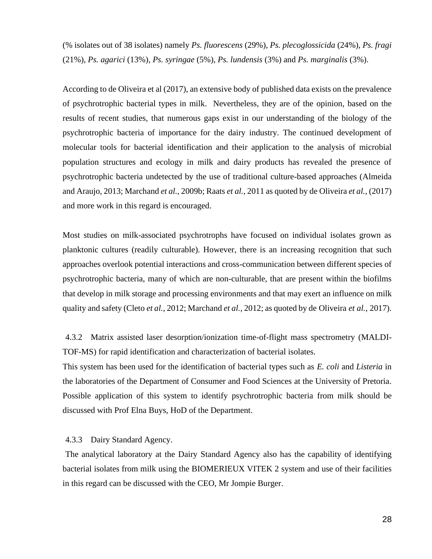(% isolates out of 38 isolates) namely *Ps. fluorescens* (29%)*, Ps. plecoglossicida* (24%)*, Ps. fragi*  (21%)*, Ps. agarici* (13%)*, Ps. syringae* (5%), *Ps. lundensis* (3%) and *Ps. marginalis* (3%).

According to de Oliveira et al (2017), an extensive body of published data exists on the prevalence of psychrotrophic bacterial types in milk. Nevertheless, they are of the opinion, based on the results of recent studies, that numerous gaps exist in our understanding of the biology of the psychrotrophic bacteria of importance for the dairy industry. The continued development of molecular tools for bacterial identification and their application to the analysis of microbial population structures and ecology in milk and dairy products has revealed the presence of psychrotrophic bacteria undetected by the use of traditional culture-based approaches (Almeida and Araujo, 2013; Marchand *et al.,* 2009b; Raats *et al.,* 2011 as quoted by de Oliveira *et al.,* (2017) and more work in this regard is encouraged.

Most studies on milk-associated psychrotrophs have focused on individual isolates grown as planktonic cultures (readily culturable). However, there is an increasing recognition that such approaches overlook potential interactions and cross-communication between different species of psychrotrophic bacteria, many of which are non-culturable, that are present within the biofilms that develop in milk storage and processing environments and that may exert an influence on milk quality and safety (Cleto *et al.,* 2012; Marchand *et al.,* 2012; as quoted by de Oliveira *et al.,* 2017).

4.3.2 Matrix assisted laser desorption/ionization time-of-flight mass spectrometry (MALDI-TOF-MS) for rapid identification and characterization of bacterial isolates.

This system has been used for the identification of bacterial types such as *E. coli* and *Listeria* in the laboratories of the Department of Consumer and Food Sciences at the University of Pretoria. Possible application of this system to identify psychrotrophic bacteria from milk should be discussed with Prof Elna Buys, HoD of the Department.

### 4.3.3 Dairy Standard Agency.

The analytical laboratory at the Dairy Standard Agency also has the capability of identifying bacterial isolates from milk using the BIOMERIEUX VITEK 2 system and use of their facilities in this regard can be discussed with the CEO, Mr Jompie Burger.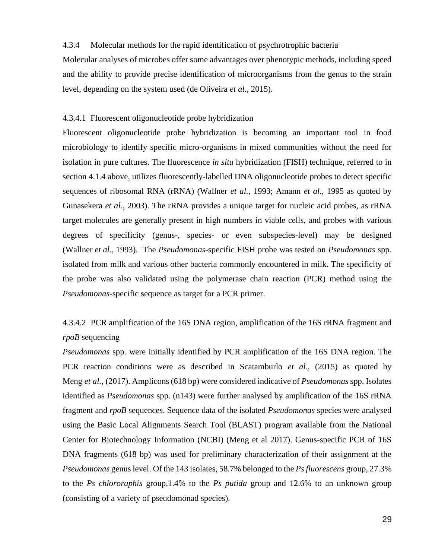#### 4.3.4 Molecular methods for the rapid identification of psychrotrophic bacteria

Molecular analyses of microbes offer some advantages over phenotypic methods, including speed and the ability to provide precise identification of microorganisms from the genus to the strain level, depending on the system used (de Oliveira *et al.,* 2015).

#### 4.3.4.1 Fluorescent oligonucleotide probe hybridization

Fluorescent oligonucleotide probe hybridization is becoming an important tool in food microbiology to identify specific micro-organisms in mixed communities without the need for isolation in pure cultures. The fluorescence *in situ* hybridization (FISH) technique, referred to in section 4.1.4 above, utilizes fluorescently-labelled DNA oligonucleotide probes to detect specific sequences of ribosomal RNA (rRNA) (Wallner *et al.,* 1993; Amann *et al.,* 1995 as quoted by Gunasekera *et al.,* 2003). The rRNA provides a unique target for nucleic acid probes, as rRNA target molecules are generally present in high numbers in viable cells, and probes with various degrees of specificity (genus-, species- or even subspecies-level) may be designed (Wallner *et al.,* 1993). The *Pseudomonas*-specific FISH probe was tested on *Pseudomonas* spp. isolated from milk and various other bacteria commonly encountered in milk. The specificity of the probe was also validated using the polymerase chain reaction (PCR) method using the *Pseudomonas*-specific sequence as target for a PCR primer.

# 4.3.4.2 PCR amplification of the 16S DNA region, amplification of the 16S rRNA fragment and *rpoB* sequencing

*Pseudomonas* spp. were initially identified by PCR amplification of the 16S DNA region. The PCR reaction conditions were as described in Scatamburlo *et al.,* (2015) as quoted by Meng *et al.,* (2017). Amplicons (618 bp) were considered indicative of *Pseudomonas* spp. Isolates identified as *Pseudomonas* spp. (n143) were further analysed by amplification of the 16S rRNA fragment and *rpoB* sequences. Sequence data of the isolated *Pseudomonas* species were analysed using the Basic Local Alignments Search Tool (BLAST) program available from the National Center for Biotechnology Information (NCBI) (Meng et al 2017). Genus-specific PCR of 16S DNA fragments (618 bp) was used for preliminary characterization of their assignment at the *Pseudomonas* genus level. Of the 143 isolates, 58.7% belonged to the *Ps fluorescens* group, 27.3% to the *Ps chlororaphis* group,1.4% to the *Ps putida* group and 12.6% to an unknown group (consisting of a variety of pseudomonad species).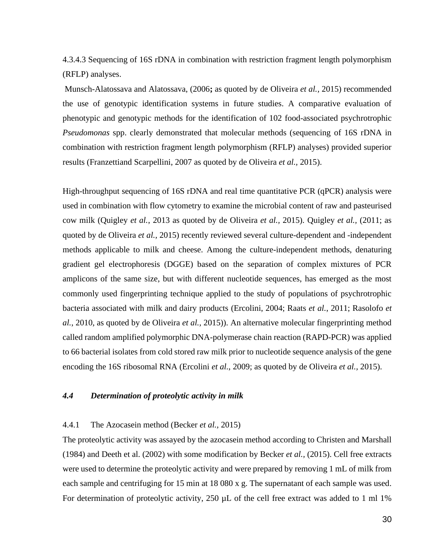4.3.4.3 Sequencing of 16S rDNA in combination with restriction fragment length polymorphism (RFLP) analyses.

Munsch-Alatossava and Alatossava, (2006**;** as quoted by de Oliveira *et al.,* 2015) recommended the use of genotypic identification systems in future studies. A comparative evaluation of phenotypic and genotypic methods for the identification of 102 food-associated psychrotrophic *Pseudomonas* spp. clearly demonstrated that molecular methods (sequencing of 16S rDNA in combination with restriction fragment length polymorphism (RFLP) analyses) provided superior results (Franzettiand Scarpellini, 2007 as quoted by de Oliveira *et al.,* 2015).

High-throughput sequencing of 16S rDNA and real time quantitative PCR (qPCR) analysis were used in combination with flow cytometry to examine the microbial content of raw and pasteurised cow milk (Quigley *et al.*, 2013 as quoted by de Oliveira *et al.,* 2015). Quigley *et al.,* (2011; as quoted by de Oliveira *et al.,* 2015) recently reviewed several culture-dependent and -independent methods applicable to milk and cheese. Among the culture-independent methods, denaturing gradient gel electrophoresis (DGGE) based on the separation of complex mixtures of PCR amplicons of the same size, but with different nucleotide sequences, has emerged as the most commonly used fingerprinting technique applied to the study of populations of psychrotrophic bacteria associated with milk and dairy products (Ercolini, 2004; Raats *et al.*, 2011; Rasolofo *et al.*, 2010, as quoted by de Oliveira *et al.,* 2015)). An alternative molecular fingerprinting method called random amplified polymorphic DNA-polymerase chain reaction (RAPD-PCR) was applied to 66 bacterial isolates from cold stored raw milk prior to nucleotide sequence analysis of the gene encoding the 16S ribosomal RNA (Ercolini *et al.*, 2009; as quoted by de Oliveira *et al.,* 2015).

## *4.4 Determination of proteolytic activity in milk*

#### 4.4.1 The Azocasein method (Becker *et al.,* 2015)

The proteolytic activity was assayed by the azocasein method according to Christen and Marshall (1984) and Deeth et al. (2002) with some modification by Becker *et al.,* (2015). Cell free extracts were used to determine the proteolytic activity and were prepared by removing 1 mL of milk from each sample and centrifuging for 15 min at 18 080 x g. The supernatant of each sample was used. For determination of proteolytic activity, 250  $\mu$ L of the cell free extract was added to 1 ml 1%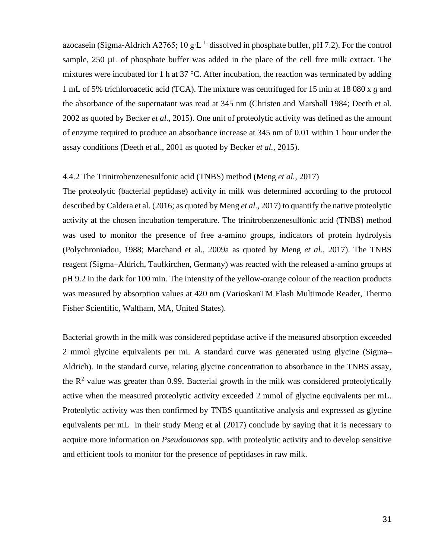azocasein (Sigma-Aldrich A2765; 10 g⋅L<sup>-1,</sup> dissolved in phosphate buffer, pH 7.2). For the control sample, 250 µL of phosphate buffer was added in the place of the cell free milk extract. The mixtures were incubated for 1 h at 37 °C. After incubation, the reaction was terminated by adding 1 mL of 5% trichloroacetic acid (TCA). The mixture was centrifuged for 15 min at 18 080 x *g* and the absorbance of the supernatant was read at 345 nm (Christen and Marshall 1984; Deeth et al. 2002 as quoted by Becker *et al.,* 2015). One unit of proteolytic activity was defined as the amount of enzyme required to produce an absorbance increase at 345 nm of 0.01 within 1 hour under the assay conditions (Deeth et al., 2001 as quoted by Becker *et al.,* 2015).

## 4.4.2 The Trinitrobenzenesulfonic acid (TNBS) method (Meng *et al.,* 2017)

The proteolytic (bacterial peptidase) activity in milk was determined according to the protocol described by Caldera et al. (2016; as quoted by Meng *et al.,* 2017) to quantify the native proteolytic activity at the chosen incubation temperature. The trinitrobenzenesulfonic acid (TNBS) method was used to monitor the presence of free a-amino groups, indicators of protein hydrolysis (Polychroniadou, 1988; Marchand et al., 2009a as quoted by Meng *et al.,* 2017). The TNBS reagent (Sigma–Aldrich, Taufkirchen, Germany) was reacted with the released a-amino groups at pH 9.2 in the dark for 100 min. The intensity of the yellow-orange colour of the reaction products was measured by absorption values at 420 nm (VarioskanTM Flash Multimode Reader, Thermo Fisher Scientific, Waltham, MA, United States).

Bacterial growth in the milk was considered peptidase active if the measured absorption exceeded 2 mmol glycine equivalents per mL A standard curve was generated using glycine (Sigma– Aldrich). In the standard curve, relating glycine concentration to absorbance in the TNBS assay, the  $\mathbb{R}^2$  value was greater than 0.99. Bacterial growth in the milk was considered proteolytically active when the measured proteolytic activity exceeded 2 mmol of glycine equivalents per mL. Proteolytic activity was then confirmed by TNBS quantitative analysis and expressed as glycine equivalents per mL In their study Meng et al (2017) conclude by saying that it is necessary to acquire more information on *Pseudomonas* spp. with proteolytic activity and to develop sensitive and efficient tools to monitor for the presence of peptidases in raw milk.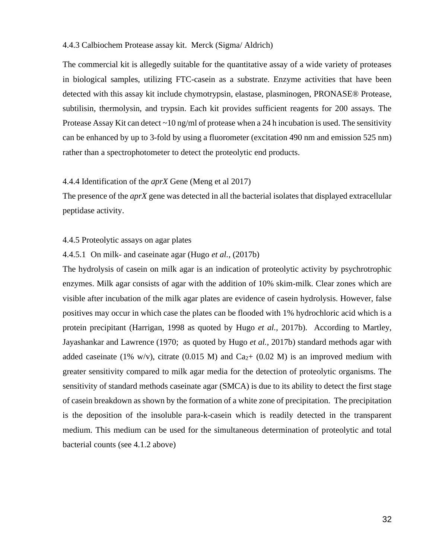#### 4.4.3 Calbiochem Protease assay kit. Merck (Sigma/ Aldrich)

The commercial kit is allegedly suitable for the quantitative assay of a wide variety of proteases in biological samples, utilizing FTC-casein as a substrate. Enzyme activities that have been detected with this assay kit include chymotrypsin, elastase, plasminogen, PRONASE® Protease, subtilisin, thermolysin, and trypsin. Each kit provides sufficient reagents for 200 assays. The Protease Assay Kit can detect  $\sim$  10 ng/ml of protease when a 24 h incubation is used. The sensitivity can be enhanced by up to 3-fold by using a fluorometer (excitation 490 nm and emission 525 nm) rather than a spectrophotometer to detect the proteolytic end products.

#### 4.4.4 Identification of the *aprX* Gene (Meng et al 2017)

The presence of the *aprX* gene was detected in all the bacterial isolates that displayed extracellular peptidase activity.

#### 4.4.5 Proteolytic assays on agar plates

### 4.4.5.1 On milk- and caseinate agar (Hugo *et al.,* (2017b)

The hydrolysis of casein on milk agar is an indication of proteolytic activity by psychrotrophic enzymes. Milk agar consists of agar with the addition of 10% skim-milk. Clear zones which are visible after incubation of the milk agar plates are evidence of casein hydrolysis. However, false positives may occur in which case the plates can be flooded with 1% hydrochloric acid which is a protein precipitant (Harrigan, 1998 as quoted by Hugo *et al.,* 2017b). According to Martley, Jayashankar and Lawrence (1970; as quoted by Hugo *et al.,* 2017b) standard methods agar with added caseinate (1% w/v), citrate (0.015 M) and Ca<sub>2</sub>+ (0.02 M) is an improved medium with greater sensitivity compared to milk agar media for the detection of proteolytic organisms. The sensitivity of standard methods caseinate agar (SMCA) is due to its ability to detect the first stage of casein breakdown as shown by the formation of a white zone of precipitation. The precipitation is the deposition of the insoluble para-k-casein which is readily detected in the transparent medium. This medium can be used for the simultaneous determination of proteolytic and total bacterial counts (see 4.1.2 above)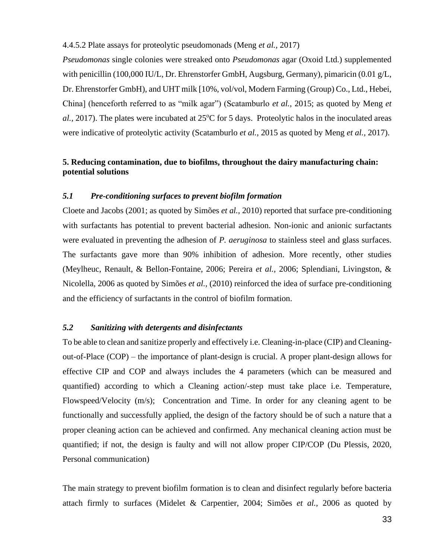4.4.5.2 Plate assays for proteolytic pseudomonads (Meng *et al.,* 2017)

*Pseudomonas* single colonies were streaked onto *Pseudomonas* agar (Oxoid Ltd.) supplemented with penicillin (100,000 IU/L, Dr. Ehrenstorfer GmbH, Augsburg, Germany), pimaricin (0.01 g/L, Dr. Ehrenstorfer GmbH), and UHT milk [10%, vol/vol, Modern Farming (Group) Co., Ltd., Hebei, China] (henceforth referred to as "milk agar") (Scatamburlo *et al.,* 2015; as quoted by Meng *et al.,* 2017). The plates were incubated at 25<sup>o</sup>C for 5 days. Proteolytic halos in the inoculated areas were indicative of proteolytic activity (Scatamburlo *et al.,* 2015 as quoted by Meng *et al.,* 2017).

## **5. Reducing contamination, due to biofilms, throughout the dairy manufacturing chain: potential solutions**

### *5.1 Pre-conditioning surfaces to prevent biofilm formation*

Cloete and Jacobs (2001; as quoted by Simões *et al.,* 2010) reported that surface pre-conditioning with surfactants has potential to prevent bacterial adhesion. Non-ionic and anionic surfactants were evaluated in preventing the adhesion of *P. aeruginosa* to stainless steel and glass surfaces. The surfactants gave more than 90% inhibition of adhesion. More recently, other studies (Meylheuc, Renault, & Bellon-Fontaine, 2006; Pereira *et al.,* 2006; Splendiani, Livingston, & Nicolella, 2006 as quoted by Simões *et al.,* (2010) reinforced the idea of surface pre-conditioning and the efficiency of surfactants in the control of biofilm formation.

## *5.2 Sanitizing with detergents and disinfectants*

To be able to clean and sanitize properly and effectively i.e. Cleaning-in-place (CIP) and Cleaningout-of-Place (COP) – the importance of plant-design is crucial. A proper plant-design allows for effective CIP and COP and always includes the 4 parameters (which can be measured and quantified) according to which a Cleaning action/-step must take place i.e. Temperature, Flowspeed/Velocity (m/s); Concentration and Time. In order for any cleaning agent to be functionally and successfully applied, the design of the factory should be of such a nature that a proper cleaning action can be achieved and confirmed. Any mechanical cleaning action must be quantified; if not, the design is faulty and will not allow proper CIP/COP (Du Plessis, 2020, Personal communication)

The main strategy to prevent biofilm formation is to clean and disinfect regularly before bacteria attach firmly to surfaces (Midelet & Carpentier, 2004; Simões *et al.,* 2006 as quoted by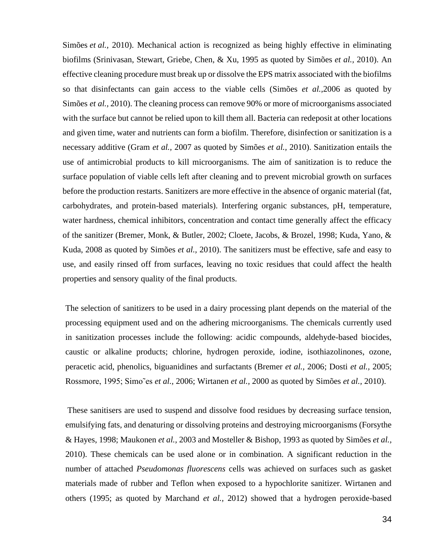Simões *et al.,* 2010). Mechanical action is recognized as being highly effective in eliminating biofilms (Srinivasan, Stewart, Griebe, Chen, & Xu, 1995 as quoted by Simões *et al.,* 2010). An effective cleaning procedure must break up or dissolve the EPS matrix associated with the biofilms so that disinfectants can gain access to the viable cells (Simões *et al.,*2006 as quoted by Simões *et al.,* 2010). The cleaning process can remove 90% or more of microorganisms associated with the surface but cannot be relied upon to kill them all. Bacteria can redeposit at other locations and given time, water and nutrients can form a biofilm. Therefore, disinfection or sanitization is a necessary additive (Gram *et al.,* 2007 as quoted by Simões *et al.,* 2010). Sanitization entails the use of antimicrobial products to kill microorganisms. The aim of sanitization is to reduce the surface population of viable cells left after cleaning and to prevent microbial growth on surfaces before the production restarts. Sanitizers are more effective in the absence of organic material (fat, carbohydrates, and protein-based materials). Interfering organic substances, pH, temperature, water hardness, chemical inhibitors, concentration and contact time generally affect the efficacy of the sanitizer (Bremer, Monk, & Butler, 2002; Cloete, Jacobs, & Brozel, 1998; Kuda, Yano, & Kuda, 2008 as quoted by Simões *et al.,* 2010). The sanitizers must be effective, safe and easy to use, and easily rinsed off from surfaces, leaving no toxic residues that could affect the health properties and sensory quality of the final products.

The selection of sanitizers to be used in a dairy processing plant depends on the material of the processing equipment used and on the adhering microorganisms. The chemicals currently used in sanitization processes include the following: acidic compounds, aldehyde-based biocides, caustic or alkaline products; chlorine, hydrogen peroxide, iodine, isothiazolinones, ozone, peracetic acid, phenolics, biguanidines and surfactants (Bremer *et al.,* 2006; Dosti *et al.,* 2005; Rossmore, 1995; Simo˜es *et al.,* 2006; Wirtanen *et al.,* 2000 as quoted by Simões *et al.,* 2010).

These sanitisers are used to suspend and dissolve food residues by decreasing surface tension, emulsifying fats, and denaturing or dissolving proteins and destroying microorganisms (Forsythe & Hayes, 1998; Maukonen *et al.,* 2003 and Mosteller & Bishop, 1993 as quoted by Simões *et al.,* 2010). These chemicals can be used alone or in combination. A significant reduction in the number of attached *Pseudomonas fluorescens* cells was achieved on surfaces such as gasket materials made of rubber and Teflon when exposed to a hypochlorite sanitizer. Wirtanen and others (1995; as quoted by Marchand *et al.,* 2012) showed that a hydrogen peroxide-based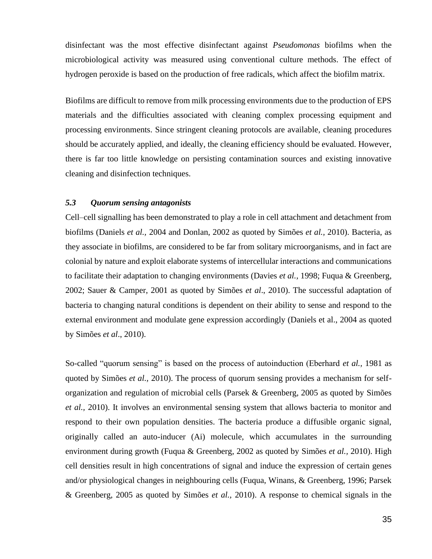disinfectant was the most effective disinfectant against *Pseudomonas* biofilms when the microbiological activity was measured using conventional culture methods. The effect of hydrogen peroxide is based on the production of free radicals, which affect the biofilm matrix.

Biofilms are difficult to remove from milk processing environments due to the production of EPS materials and the difficulties associated with cleaning complex processing equipment and processing environments. Since stringent cleaning protocols are available, cleaning procedures should be accurately applied, and ideally, the cleaning efficiency should be evaluated. However, there is far too little knowledge on persisting contamination sources and existing innovative cleaning and disinfection techniques.

## *5.3 Quorum sensing antagonists*

Cell–cell signalling has been demonstrated to play a role in cell attachment and detachment from biofilms (Daniels *et al.,* 2004 and Donlan, 2002 as quoted by Simões *et al.,* 2010). Bacteria, as they associate in biofilms, are considered to be far from solitary microorganisms, and in fact are colonial by nature and exploit elaborate systems of intercellular interactions and communications to facilitate their adaptation to changing environments (Davies *et al.,* 1998; Fuqua & Greenberg, 2002; Sauer & Camper, 2001 as quoted by Simões *et al*., 2010). The successful adaptation of bacteria to changing natural conditions is dependent on their ability to sense and respond to the external environment and modulate gene expression accordingly (Daniels et al., 2004 as quoted by Simões *et al*., 2010).

So-called "quorum sensing" is based on the process of autoinduction (Eberhard *et al.,* 1981 as quoted by Simões *et al.,* 2010). The process of quorum sensing provides a mechanism for selforganization and regulation of microbial cells (Parsek & Greenberg, 2005 as quoted by Simões *et al.,* 2010). It involves an environmental sensing system that allows bacteria to monitor and respond to their own population densities. The bacteria produce a diffusible organic signal, originally called an auto-inducer (Ai) molecule, which accumulates in the surrounding environment during growth (Fuqua & Greenberg, 2002 as quoted by Simões *et al.,* 2010). High cell densities result in high concentrations of signal and induce the expression of certain genes and/or physiological changes in neighbouring cells (Fuqua, Winans, & Greenberg, 1996; Parsek & Greenberg, 2005 as quoted by Simões *et al.,* 2010). A response to chemical signals in the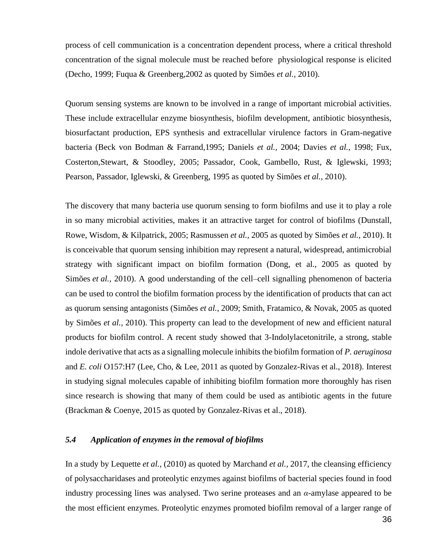process of cell communication is a concentration dependent process, where a critical threshold concentration of the signal molecule must be reached before physiological response is elicited (Decho, 1999; Fuqua & Greenberg,2002 as quoted by Simões *et al.,* 2010).

Quorum sensing systems are known to be involved in a range of important microbial activities. These include extracellular enzyme biosynthesis, biofilm development, antibiotic biosynthesis, biosurfactant production, EPS synthesis and extracellular virulence factors in Gram-negative bacteria (Beck von Bodman & Farrand,1995; Daniels *et al.,* 2004; Davies *et al.,* 1998; Fux, Costerton,Stewart, & Stoodley, 2005; Passador, Cook, Gambello, Rust, & Iglewski, 1993; Pearson, Passador, Iglewski, & Greenberg, 1995 as quoted by Simões *et al.,* 2010).

The discovery that many bacteria use quorum sensing to form biofilms and use it to play a role in so many microbial activities, makes it an attractive target for control of biofilms (Dunstall, Rowe, Wisdom, & Kilpatrick, 2005; Rasmussen *et al.,* 2005 as quoted by Simões *et al.,* 2010). It is conceivable that quorum sensing inhibition may represent a natural, widespread, antimicrobial strategy with significant impact on biofilm formation (Dong, et al., 2005 as quoted by Simões *et al.,* 2010). A good understanding of the cell–cell signalling phenomenon of bacteria can be used to control the biofilm formation process by the identification of products that can act as quorum sensing antagonists (Simões *et al.,* 2009; Smith, Fratamico, & Novak, 2005 as quoted by Simões *et al.,* 2010). This property can lead to the development of new and efficient natural products for biofilm control. A recent study showed that 3-Indolylacetonitrile, a strong, stable indole derivative that acts as a signalling molecule inhibits the biofilm formation of *P. aeruginosa*  and *E. coli* O157:H7 (Lee, Cho, & Lee, 2011 as quoted by Gonzalez-Rivas et al., 2018). Interest in studying signal molecules capable of inhibiting biofilm formation more thoroughly has risen since research is showing that many of them could be used as antibiotic agents in the future (Brackman & Coenye, 2015 as quoted by Gonzalez-Rivas et al., 2018).

## *5.4 Application of enzymes in the removal of biofilms*

In a study by Lequette *et al.,* (2010) as quoted by Marchand *et al.,* 2017, the cleansing efficiency of polysaccharidases and proteolytic enzymes against biofilms of bacterial species found in food industry processing lines was analysed. Two serine proteases and an *α*-amylase appeared to be the most efficient enzymes. Proteolytic enzymes promoted biofilm removal of a larger range of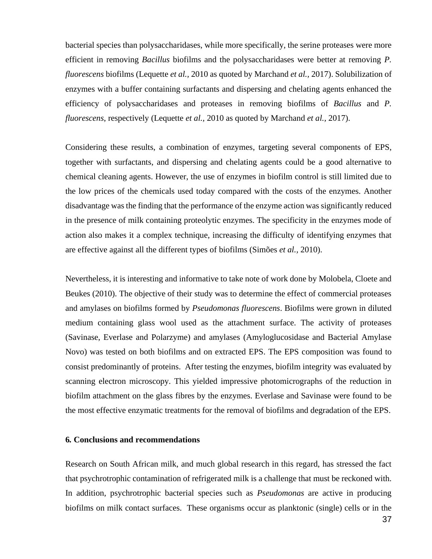bacterial species than polysaccharidases, while more specifically, the serine proteases were more efficient in removing *Bacillus* biofilms and the polysaccharidases were better at removing *P. fluorescens* biofilms (Lequette *et al.,* 2010 as quoted by Marchand *et al.,* 2017). Solubilization of enzymes with a buffer containing surfactants and dispersing and chelating agents enhanced the efficiency of polysaccharidases and proteases in removing biofilms of *Bacillus* and *P. fluorescens*, respectively (Lequette *et al.,* 2010 as quoted by Marchand *et al.,* 2017).

Considering these results, a combination of enzymes, targeting several components of EPS, together with surfactants, and dispersing and chelating agents could be a good alternative to chemical cleaning agents. However, the use of enzymes in biofilm control is still limited due to the low prices of the chemicals used today compared with the costs of the enzymes. Another disadvantage was the finding that the performance of the enzyme action was significantly reduced in the presence of milk containing proteolytic enzymes. The specificity in the enzymes mode of action also makes it a complex technique, increasing the difficulty of identifying enzymes that are effective against all the different types of biofilms (Simões *et al.,* 2010).

Nevertheless, it is interesting and informative to take note of work done by Molobela, Cloete and Beukes (2010). The objective of their study was to determine the effect of commercial proteases and amylases on biofilms formed by *Pseudomonas fluorescens*. Biofilms were grown in diluted medium containing glass wool used as the attachment surface. The activity of proteases (Savinase, Everlase and Polarzyme) and amylases (Amyloglucosidase and Bacterial Amylase Novo) was tested on both biofilms and on extracted EPS. The EPS composition was found to consist predominantly of proteins. After testing the enzymes, biofilm integrity was evaluated by scanning electron microscopy. This yielded impressive photomicrographs of the reduction in biofilm attachment on the glass fibres by the enzymes. Everlase and Savinase were found to be the most effective enzymatic treatments for the removal of biofilms and degradation of the EPS.

### **6***.* **Conclusions and recommendations**

Research on South African milk, and much global research in this regard, has stressed the fact that psychrotrophic contamination of refrigerated milk is a challenge that must be reckoned with. In addition, psychrotrophic bacterial species such as *Pseudomonas* are active in producing biofilms on milk contact surfaces. These organisms occur as planktonic (single) cells or in the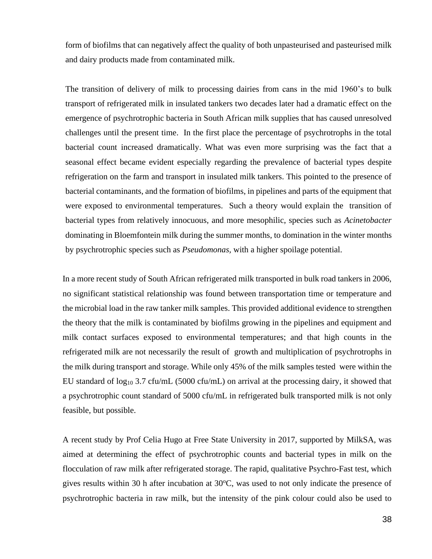form of biofilms that can negatively affect the quality of both unpasteurised and pasteurised milk and dairy products made from contaminated milk.

The transition of delivery of milk to processing dairies from cans in the mid 1960's to bulk transport of refrigerated milk in insulated tankers two decades later had a dramatic effect on the emergence of psychrotrophic bacteria in South African milk supplies that has caused unresolved challenges until the present time. In the first place the percentage of psychrotrophs in the total bacterial count increased dramatically. What was even more surprising was the fact that a seasonal effect became evident especially regarding the prevalence of bacterial types despite refrigeration on the farm and transport in insulated milk tankers. This pointed to the presence of bacterial contaminants, and the formation of biofilms, in pipelines and parts of the equipment that were exposed to environmental temperatures. Such a theory would explain the transition of bacterial types from relatively innocuous, and more mesophilic, species such as *Acinetobacter* dominating in Bloemfontein milk during the summer months, to domination in the winter months by psychrotrophic species such as *Pseudomonas,* with a higher spoilage potential.

In a more recent study of South African refrigerated milk transported in bulk road tankers in 2006, no significant statistical relationship was found between transportation time or temperature and the microbial load in the raw tanker milk samples. This provided additional evidence to strengthen the theory that the milk is contaminated by biofilms growing in the pipelines and equipment and milk contact surfaces exposed to environmental temperatures; and that high counts in the refrigerated milk are not necessarily the result of growth and multiplication of psychrotrophs in the milk during transport and storage. While only 45% of the milk samples tested were within the EU standard of  $log_{10} 3.7$  cfu/mL (5000 cfu/mL) on arrival at the processing dairy, it showed that a psychrotrophic count standard of 5000 cfu/mL in refrigerated bulk transported milk is not only feasible, but possible.

A recent study by Prof Celia Hugo at Free State University in 2017, supported by MilkSA, was aimed at determining the effect of psychrotrophic counts and bacterial types in milk on the flocculation of raw milk after refrigerated storage. The rapid, qualitative Psychro-Fast test, which gives results within 30 h after incubation at  $30^{\circ}$ C, was used to not only indicate the presence of psychrotrophic bacteria in raw milk, but the intensity of the pink colour could also be used to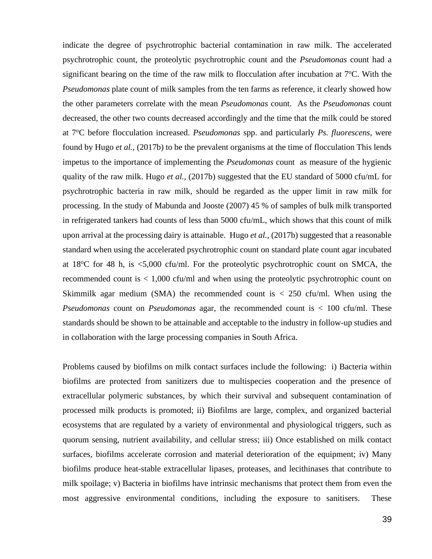indicate the degree of psychrotrophic bacterial contamination in raw milk. The accelerated psychrotrophic count, the proteolytic psychrotrophic count and the *Pseudomonas* count had a significant bearing on the time of the raw milk to flocculation after incubation at  $7^{\circ}$ C. With the *Pseudomonas* plate count of milk samples from the ten farms as reference, it clearly showed how the other parameters correlate with the mean *Pseudomonas* count. As the *Pseudomonas* count decreased, the other two counts decreased accordingly and the time that the milk could be stored at 7°C before flocculation increased. *Pseudomonas* spp. and particularly *Ps. fluorescens*, were found by Hugo *et al.,* (2017b) to be the prevalent organisms at the time of flocculation This lends impetus to the importance of implementing the *Pseudomonas* count as measure of the hygienic quality of the raw milk. Hugo *et al.,* (2017b) suggested that the EU standard of 5000 cfu/mL for psychrotrophic bacteria in raw milk, should be regarded as the upper limit in raw milk for processing. In the study of Mabunda and Jooste (2007) 45 % of samples of bulk milk transported in refrigerated tankers had counts of less than 5000 cfu/mL, which shows that this count of milk upon arrival at the processing dairy is attainable. Hugo *et al.,* (2017b) suggested that a reasonable standard when using the accelerated psychrotrophic count on standard plate count agar incubated at  $18^{\circ}$ C for 48 h, is  $\lt 5,000$  cfu/ml. For the proteolytic psychrotrophic count on SMCA, the recommended count is < 1,000 cfu/ml and when using the proteolytic psychrotrophic count on Skimmilk agar medium (SMA) the recommended count is  $\lt$  250 cfu/ml. When using the *Pseudomonas* count on *Pseudomonas* agar, the recommended count is < 100 cfu/ml. These standards should be shown to be attainable and acceptable to the industry in follow-up studies and in collaboration with the large processing companies in South Africa.

Problems caused by biofilms on milk contact surfaces include the following: i) Bacteria within biofilms are protected from sanitizers due to multispecies cooperation and the presence of extracellular polymeric substances, by which their survival and subsequent contamination of processed milk products is promoted; ii) Biofilms are large, complex, and organized bacterial ecosystems that are regulated by a variety of environmental and physiological triggers, such as quorum sensing, nutrient availability, and cellular stress; iii) Once established on milk contact surfaces, biofilms accelerate corrosion and material deterioration of the equipment; iv) Many biofilms produce heat-stable extracellular lipases, proteases, and lecithinases that contribute to milk spoilage; v) Bacteria in biofilms have intrinsic mechanisms that protect them from even the most aggressive environmental conditions, including the exposure to sanitisers. These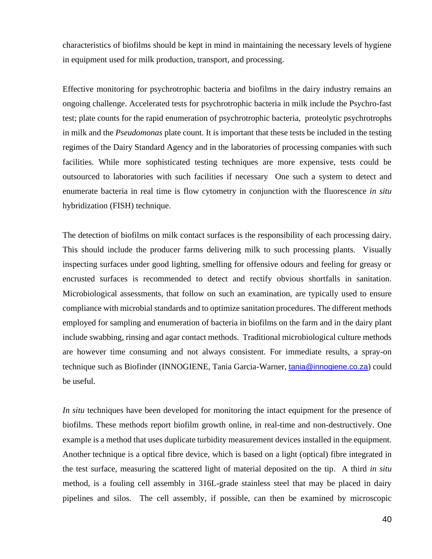characteristics of biofilms should be kept in mind in maintaining the necessary levels of hygiene in equipment used for milk production, transport, and processing.

Effective monitoring for psychrotrophic bacteria and biofilms in the dairy industry remains an ongoing challenge. Accelerated tests for psychrotrophic bacteria in milk include the Psychro-fast test; plate counts for the rapid enumeration of psychrotrophic bacteria, proteolytic psychrotrophs in milk and the *Pseudomonas* plate count. It is important that these tests be included in the testing regimes of the Dairy Standard Agency and in the laboratories of processing companies with such facilities. While more sophisticated testing techniques are more expensive, tests could be outsourced to laboratories with such facilities if necessary One such a system to detect and enumerate bacteria in real time is flow cytometry in conjunction with the fluorescence *in situ* hybridization (FISH) technique.

The detection of biofilms on milk contact surfaces is the responsibility of each processing dairy. This should include the producer farms delivering milk to such processing plants. Visually inspecting surfaces under good lighting, smelling for offensive odours and feeling for greasy or encrusted surfaces is recommended to detect and rectify obvious shortfalls in sanitation. Microbiological assessments, that follow on such an examination, are typically used to ensure compliance with microbial standards and to optimize sanitation procedures. The different methods employed for sampling and enumeration of bacteria in biofilms on the farm and in the dairy plant include swabbing, rinsing and agar contact methods. Traditional microbiological culture methods are however time consuming and not always consistent. For immediate results, a spray-on technique such as Biofinder (INNOGIENE, Tania Garcia-Warner, [tania@innogiene.co.za](mailto:tania@innogiene.co.za)) could be useful.

*In situ* techniques have been developed for monitoring the intact equipment for the presence of biofilms. These methods report biofilm growth online, in real-time and non-destructively. One example is a method that uses duplicate turbidity measurement devices installed in the equipment. Another technique is a optical fibre device, which is based on a light (optical) fibre integrated in the test surface, measuring the scattered light of material deposited on the tip. A third *in situ* method, is a fouling cell assembly in 316L-grade stainless steel that may be placed in dairy pipelines and silos. The cell assembly, if possible, can then be examined by microscopic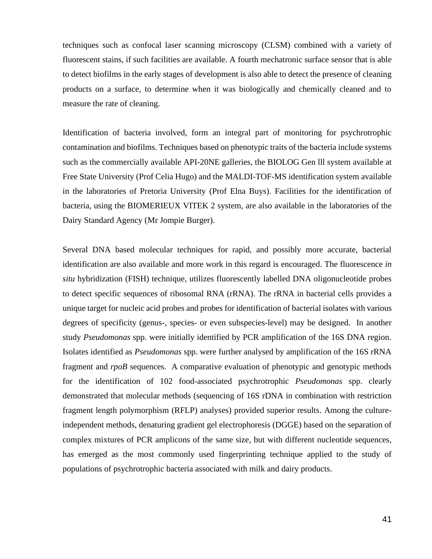techniques such as confocal laser scanning microscopy (CLSM) combined with a variety of fluorescent stains, if such facilities are available. A fourth mechatronic surface sensor that is able to detect biofilms in the early stages of development is also able to detect the presence of cleaning products on a surface, to determine when it was biologically and chemically cleaned and to measure the rate of cleaning.

Identification of bacteria involved, form an integral part of monitoring for psychrotrophic contamination and biofilms. Techniques based on phenotypic traits of the bacteria include systems such as the commercially available API-20NE galleries, the BIOLOG Gen lll system available at Free State University (Prof Celia Hugo) and the MALDI-TOF-MS identification system available in the laboratories of Pretoria University (Prof Elna Buys). Facilities for the identification of bacteria, using the BIOMERIEUX VITEK 2 system, are also available in the laboratories of the Dairy Standard Agency (Mr Jompie Burger).

Several DNA based molecular techniques for rapid, and possibly more accurate, bacterial identification are also available and more work in this regard is encouraged. The fluorescence *in situ* hybridization (FISH) technique, utilizes fluorescently labelled DNA oligonucleotide probes to detect specific sequences of ribosomal RNA (rRNA). The rRNA in bacterial cells provides a unique target for nucleic acid probes and probes for identification of bacterial isolates with various degrees of specificity (genus-, species- or even subspecies-level) may be designed. In another study *Pseudomonas* spp. were initially identified by PCR amplification of the 16S DNA region. Isolates identified as *Pseudomonas* spp. were further analysed by amplification of the 16S rRNA fragment and *rpoB* sequences. A comparative evaluation of phenotypic and genotypic methods for the identification of 102 food-associated psychrotrophic *Pseudomonas* spp. clearly demonstrated that molecular methods (sequencing of 16S rDNA in combination with restriction fragment length polymorphism (RFLP) analyses) provided superior results. Among the cultureindependent methods, denaturing gradient gel electrophoresis (DGGE) based on the separation of complex mixtures of PCR amplicons of the same size, but with different nucleotide sequences, has emerged as the most commonly used fingerprinting technique applied to the study of populations of psychrotrophic bacteria associated with milk and dairy products.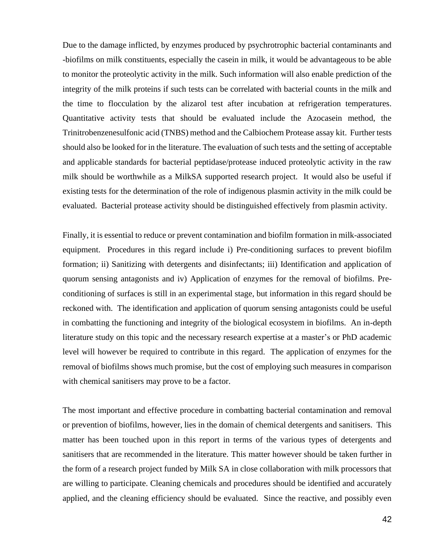Due to the damage inflicted, by enzymes produced by psychrotrophic bacterial contaminants and -biofilms on milk constituents, especially the casein in milk, it would be advantageous to be able to monitor the proteolytic activity in the milk. Such information will also enable prediction of the integrity of the milk proteins if such tests can be correlated with bacterial counts in the milk and the time to flocculation by the alizarol test after incubation at refrigeration temperatures. Quantitative activity tests that should be evaluated include the Azocasein method, the Trinitrobenzenesulfonic acid (TNBS) method and the Calbiochem Protease assay kit. Further tests should also be looked for in the literature. The evaluation of such tests and the setting of acceptable and applicable standards for bacterial peptidase/protease induced proteolytic activity in the raw milk should be worthwhile as a MilkSA supported research project. It would also be useful if existing tests for the determination of the role of indigenous plasmin activity in the milk could be evaluated. Bacterial protease activity should be distinguished effectively from plasmin activity.

Finally, it is essential to reduce or prevent contamination and biofilm formation in milk-associated equipment. Procedures in this regard include i) Pre-conditioning surfaces to prevent biofilm formation; ii) Sanitizing with detergents and disinfectants; iii) Identification and application of quorum sensing antagonists and iv) Application of enzymes for the removal of biofilms. Preconditioning of surfaces is still in an experimental stage, but information in this regard should be reckoned with. The identification and application of quorum sensing antagonists could be useful in combatting the functioning and integrity of the biological ecosystem in biofilms. An in-depth literature study on this topic and the necessary research expertise at a master's or PhD academic level will however be required to contribute in this regard. The application of enzymes for the removal of biofilms shows much promise, but the cost of employing such measures in comparison with chemical sanitisers may prove to be a factor.

The most important and effective procedure in combatting bacterial contamination and removal or prevention of biofilms, however, lies in the domain of chemical detergents and sanitisers. This matter has been touched upon in this report in terms of the various types of detergents and sanitisers that are recommended in the literature. This matter however should be taken further in the form of a research project funded by Milk SA in close collaboration with milk processors that are willing to participate. Cleaning chemicals and procedures should be identified and accurately applied, and the cleaning efficiency should be evaluated. Since the reactive, and possibly even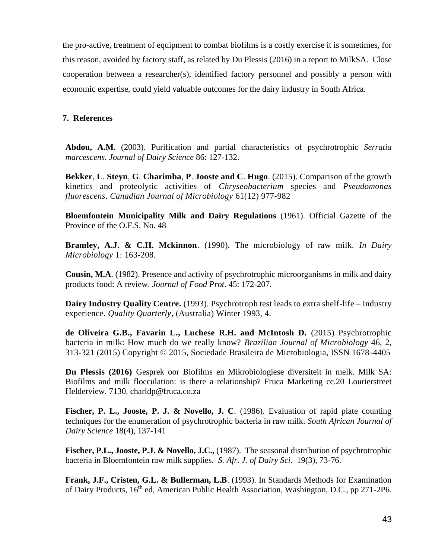the pro-active, treatment of equipment to combat biofilms is a costly exercise it is sometimes, for this reason, avoided by factory staff, as related by Du Plessis (2016) in a report to MilkSA. Close cooperation between a researcher(s), identified factory personnel and possibly a person with economic expertise, could yield valuable outcomes for the dairy industry in South Africa.

## **7. References**

**Abdou, A.M**. (2003). Purification and partial characteristics of psychrotrophic *Serratia marcescens. Journal of Dairy Science* 86: 127-132.

**Bekker**, **L**. **Steyn**, **G**. **Charimba**, **P**. **Jooste and C**. **Hugo**. (2015). Comparison of the growth kinetics and proteolytic activities of *Chryseobacterium* species and *Pseudomonas fluorescens*. *Canadian Journal of Microbiology* 61(12) 977-982

**Bloemfontein Municipality Milk and Dairy Regulations** (1961). Official Gazette of the Province of the O.F.S. No. 48

**Bramley, A.J. & C.H. Mckinnon**. (1990). The microbiology of raw milk. *In Dairy Microbiology* 1: 163-208.

**Cousin, M.A**. (1982). Presence and activity of psychrotrophic microorganisms in milk and dairy products food: A review. *Journal of Food Prot*. 45: 172-207.

**Dairy Industry Quality Centre.** (1993). Psychrotroph test leads to extra shelf-life – Industry experience. *Quality Quarterly*, (Australia) Winter 1993, 4.

**de Oliveira G.B., Favarin L., Luchese R.H. and McIntosh D.** (2015) Psychrotrophic bacteria in milk: How much do we really know? *Brazilian Journal of Microbiology* 46, 2, 313-321 (2015) Copyright © 2015, Sociedade Brasileira de Microbiologia, ISSN 1678-4405

**Du Plessis (2016)** Gesprek oor Biofilms en Mikrobiologiese diversiteit in melk. Milk SA: Biofilms and milk flocculation: is there a relationship? Fruca Marketing cc.20 Lourierstreet Helderview. 7130. [charldp@fruca.co.za](mailto:charldp@fruca.co.za)

**Fischer, P. L., Jooste, P. J. & Novello, J. C**. (1986). Evaluation of rapid plate counting techniques for the enumeration of psychrotrophic bacteria in raw milk. *South African Journal of Dairy Science* 18(4), 137-141

**Fischer, P.L., Jooste, P.J. & Novello, J.C.,** (1987). The seasonal distribution of psychrotrophic bacteria in Bloemfontein raw milk supplies. *S. Afr. J. of Dairy Sci.* 19(3), 73-76.

**Frank, J.F., Cristen, G.L. & Bullerman, L.B**. (1993). In Standards Methods for Examination of Dairy Products, 16<sup>th</sup> ed, American Public Health Association, Washington, D.C., pp 271-2P6.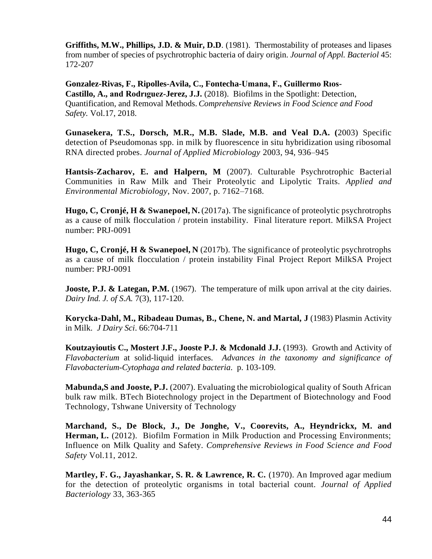**Griffiths, M.W., Phillips, J.D. & Muir, D.D**. (1981). Thermostability of proteases and lipases from number of species of psychrotrophic bacteria of dairy origin. *Journal of Appl. Bacteriol* 45: 172-207

**Gonzalez-Rivas, F., Ripolles-Avila, C., Fontecha-Umana, F., Guillermo Rıos-Castillo, A., and Rodrıguez-Jerez, J.J.** (2018). Biofilms in the Spotlight: Detection, Quantification, and Removal Methods. *Comprehensive Reviews in Food Science and Food Safety.* Vol.17, 2018.

**Gunasekera, T.S., Dorsch, M.R., M.B. Slade, M.B. and Veal D.A. (**2003) Specific detection of Pseudomonas spp. in milk by fluorescence in situ hybridization using ribosomal RNA directed probes. *Journal of Applied Microbiology* 2003, 94, 936–945

**Hantsis-Zacharov, E. and Halpern, M** (2007). Culturable Psychrotrophic Bacterial Communities in Raw Milk and Their Proteolytic and Lipolytic Traits. *Applied and Environmental Microbiology*, Nov. 2007, p. 7162–7168.

**Hugo, C, Cronjé, H & Swanepoel, N.** (2017a). The significance of proteolytic psychrotrophs as a cause of milk flocculation / protein instability. Final literature report. MilkSA Project number: PRJ-0091

**Hugo, C, Cronjé, H & Swanepoel, N** (2017b). The significance of proteolytic psychrotrophs as a cause of milk flocculation / protein instability Final Project Report MilkSA Project number: PRJ-0091

**Jooste, P.J. & Lategan, P.M.** (1967). The temperature of milk upon arrival at the city dairies. *Dairy Ind. J. of S.A.* 7(3), 117-120.

**Korycka-Dahl, M., Ribadeau Dumas, B., Chene, N. and Martal, J** (1983) Plasmin Activity in Milk. *J Dairy Sci*. 66:704-711

**Koutzayioutis C., Mostert J.F., Jooste P.J. & Mcdonald J.J.** (1993). Growth and Activity of *Flavobacterium* at solid-liquid interfaces. *Advances in the taxonomy and significance of Flavobacterium-Cytophaga and related bacteria*. p. 103-109.

**Mabunda,S and Jooste, P.J.** (2007). Evaluating the microbiological quality of South African bulk raw milk. BTech Biotechnology project in the Department of Biotechnology and Food Technology, Tshwane University of Technology

**Marchand, S., De Block, J., De Jonghe, V., Coorevits, A., Heyndrickx, M. and Herman, L.** (2012). Biofilm Formation in Milk Production and Processing Environments; Influence on Milk Quality and Safety. *Comprehensive Reviews in Food Science and Food Safety* Vol.11, 2012.

**Martley, F. G., Jayashankar, S. R. & Lawrence, R. C.** (1970). An Improved agar medium for the detection of proteolytic organisms in total bacterial count. *Journal of Applied Bacteriology* 33, 363-365